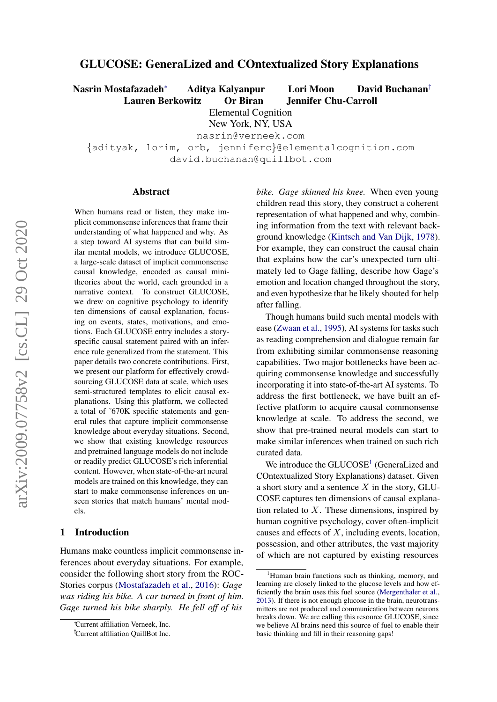# GLUCOSE: GeneraLized and COntextualized Story Explanations

Nasrin Mostafazadeh<sup>∗</sup> Aditya Kalyanpur Lori Moon David Buchanan†

Lauren Berkowitz Or Biran Jennifer Chu-Carroll

Elemental Cognition

New York, NY, USA

nasrin@verneek.com

{adityak, lorim, orb, jenniferc}@elementalcognition.com david.buchanan@quillbot.com

#### Abstract

When humans read or listen, they make implicit commonsense inferences that frame their understanding of what happened and why. As a step toward AI systems that can build similar mental models, we introduce GLUCOSE, a large-scale dataset of implicit commonsense causal knowledge, encoded as causal minitheories about the world, each grounded in a narrative context. To construct GLUCOSE, we drew on cognitive psychology to identify ten dimensions of causal explanation, focusing on events, states, motivations, and emotions. Each GLUCOSE entry includes a storyspecific causal statement paired with an inference rule generalized from the statement. This paper details two concrete contributions. First, we present our platform for effectively crowdsourcing GLUCOSE data at scale, which uses semi-structured templates to elicit causal explanations. Using this platform, we collected a total of ˜670K specific statements and general rules that capture implicit commonsense knowledge about everyday situations. Second, we show that existing knowledge resources and pretrained language models do not include or readily predict GLUCOSE's rich inferential content. However, when state-of-the-art neural models are trained on this knowledge, they can start to make commonsense inferences on unseen stories that match humans' mental models.

# 1 Introduction

Humans make countless implicit commonsense inferences about everyday situations. For example, consider the following short story from the ROC-Stories corpus [\(Mostafazadeh et al.,](#page-10-0) [2016\)](#page-10-0): *Gage was riding his bike. A car turned in front of him. Gage turned his bike sharply. He fell off of his* *bike. Gage skinned his knee.* When even young children read this story, they construct a coherent representation of what happened and why, combining information from the text with relevant background knowledge [\(Kintsch and Van Dijk,](#page-9-0) [1978\)](#page-9-0). For example, they can construct the causal chain that explains how the car's unexpected turn ultimately led to Gage falling, describe how Gage's emotion and location changed throughout the story, and even hypothesize that he likely shouted for help after falling.

Though humans build such mental models with ease [\(Zwaan et al.,](#page-11-0) [1995\)](#page-11-0), AI systems for tasks such as reading comprehension and dialogue remain far from exhibiting similar commonsense reasoning capabilities. Two major bottlenecks have been acquiring commonsense knowledge and successfully incorporating it into state-of-the-art AI systems. To address the first bottleneck, we have built an effective platform to acquire causal commonsense knowledge at scale. To address the second, we show that pre-trained neural models can start to make similar inferences when trained on such rich curated data.

We introduce the  $GLUCOSE<sup>1</sup>$  $GLUCOSE<sup>1</sup>$  $GLUCOSE<sup>1</sup>$  (GeneraLized and COntextualized Story Explanations) dataset. Given a short story and a sentence  $X$  in the story, GLU-COSE captures ten dimensions of causal explanation related to  $X$ . These dimensions, inspired by human cognitive psychology, cover often-implicit causes and effects of  $X$ , including events, location, possession, and other attributes, the vast majority of which are not captured by existing resources

<sup>∗</sup>Current affiliation Verneek, Inc.

<sup>†</sup>Current affiliation QuillBot Inc.

<span id="page-0-0"></span>Human brain functions such as thinking, memory, and learning are closely linked to the glucose levels and how efficiently the brain uses this fuel source [\(Mergenthaler et al.,](#page-9-1) [2013\)](#page-9-1). If there is not enough glucose in the brain, neurotransmitters are not produced and communication between neurons breaks down. We are calling this resource GLUCOSE, since we believe AI brains need this source of fuel to enable their basic thinking and fill in their reasoning gaps!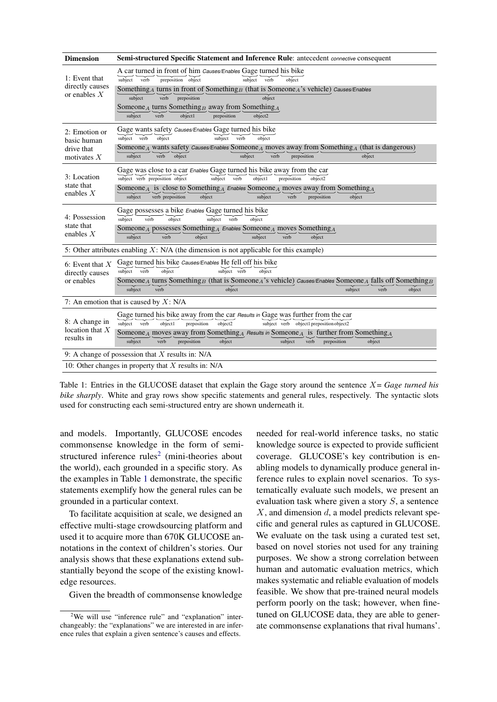<span id="page-1-1"></span>

| <b>Dimension</b>                                            | <b>Semi-structured Specific Statement and Inference Rule:</b> antecedent <i>connective</i> consequent                                                                                                                                                                                                                                                                                                                                                  |
|-------------------------------------------------------------|--------------------------------------------------------------------------------------------------------------------------------------------------------------------------------------------------------------------------------------------------------------------------------------------------------------------------------------------------------------------------------------------------------------------------------------------------------|
| 1: Event that<br>directly causes<br>or enables $X$          | A car turned in front of him Causes/Enables Gage turned his bike<br>preposition object<br>subject verb<br>subject verb<br>object<br>Something <sub>A</sub> turns in front of Something <sub>B</sub> (that is Someone <sub>A</sub> 's vehicle) Causes/Enables<br>subject<br>verb<br>preposition<br>object<br>Someone <sub>A</sub> turns Something <sub>B</sub> away from Something <sub>A</sub><br>object1<br>object2<br>subject<br>verb<br>preposition |
| 2: Emotion or<br>basic human<br>drive that<br>motivates $X$ | Gage wants safety <i>Causes/Enables</i> Gage turned his bike<br>subject verb<br>object<br>subject<br>object<br>verb<br>Someone <sub>A</sub> wants safety <i>causes/Enables</i> Someone <sub>A</sub> moves away from Something <sub>A</sub> (that is dangerous)<br>subject<br>verb<br>object<br>subject<br>verb<br>preposition<br>object                                                                                                                |
| 3: Location<br>state that<br>enables $X$                    | Gage was close to a car <i>Enables</i> Gage turned his bike away from the car<br>subject verb preposition object<br>subject verb<br>object1<br>preposition<br>object2<br>Someone <sub>A</sub> is close to Something <sub>A</sub> Enables Someone <sub>A</sub> moves away from Something <sub>A</sub><br>$\check{verb}$<br>subject<br>verb preposition<br>object<br>subject<br>preposition<br>object                                                    |
| 4: Possession<br>state that<br>enables $X$                  | Gage possesses a bike <i>Enables</i> Gage turned his bike<br>subject<br>verb<br>subject verb<br>object<br>object<br>Someone <sub>A</sub> possesses Something <sub>A</sub> Enables Someone <sub>A</sub> moves Something <sub>A</sub><br>subject<br>verb<br>object<br>subject<br>verb<br>object                                                                                                                                                          |
|                                                             | 5: Other attributes enabling $X: N/A$ (the dimension is not applicable for this example)                                                                                                                                                                                                                                                                                                                                                               |
| 6: Event that $X$<br>directly causes<br>or enables          | Gage turned his bike Causes/Enables He fell off his bike<br>subject verb<br>object<br>subject verb<br>object<br>Someone A turns Something B (that is Someone A's vehicle) Causes/Enables Someone A falls off Something B<br>subject<br>object<br>subject<br>verb<br>object<br>verb                                                                                                                                                                     |
|                                                             | 7: An emotion that is caused by $X: N/A$                                                                                                                                                                                                                                                                                                                                                                                                               |
| 8: A change in<br>location that $X$<br>results in           | Gage turned his bike away from the car <i>Results in</i> Gage was further from the car<br>subject verb<br>obiect1<br>preposition<br>object2<br>subject verb object1 preposition object2<br>Someone <sub>A</sub> moves away from Something <sub>A</sub> Results in Someone <sub>A</sub> is further from Something <sub>A</sub><br>subject<br>$\check{v}$<br>object<br>subject<br>verb<br>preposition<br>preposition<br>object                           |
|                                                             | 9: A change of possession that $X$ results in: N/A                                                                                                                                                                                                                                                                                                                                                                                                     |
|                                                             | 10: Other changes in property that $X$ results in: N/A                                                                                                                                                                                                                                                                                                                                                                                                 |

Table 1: Entries in the GLUCOSE dataset that explain the Gage story around the sentence X= *Gage turned his bike sharply*. White and gray rows show specific statements and general rules, respectively. The syntactic slots used for constructing each semi-structured entry are shown underneath it.

and models. Importantly, GLUCOSE encodes commonsense knowledge in the form of semi-structured inference rules<sup>[2](#page-1-0)</sup> (mini-theories about the world), each grounded in a specific story. As the examples in Table [1](#page-1-1) demonstrate, the specific statements exemplify how the general rules can be grounded in a particular context.

To facilitate acquisition at scale, we designed an effective multi-stage crowdsourcing platform and used it to acquire more than 670K GLUCOSE annotations in the context of children's stories. Our analysis shows that these explanations extend substantially beyond the scope of the existing knowledge resources.

Given the breadth of commonsense knowledge

needed for real-world inference tasks, no static knowledge source is expected to provide sufficient coverage. GLUCOSE's key contribution is enabling models to dynamically produce general inference rules to explain novel scenarios. To systematically evaluate such models, we present an evaluation task where given a story  $S$ , a sentence  $X$ , and dimension  $d$ , a model predicts relevant specific and general rules as captured in GLUCOSE. We evaluate on the task using a curated test set, based on novel stories not used for any training purposes. We show a strong correlation between human and automatic evaluation metrics, which makes systematic and reliable evaluation of models feasible. We show that pre-trained neural models perform poorly on the task; however, when finetuned on GLUCOSE data, they are able to generate commonsense explanations that rival humans'.

<span id="page-1-0"></span><sup>&</sup>lt;sup>2</sup>We will use "inference rule" and "explanation" interchangeably: the "explanations" we are interested in are inference rules that explain a given sentence's causes and effects.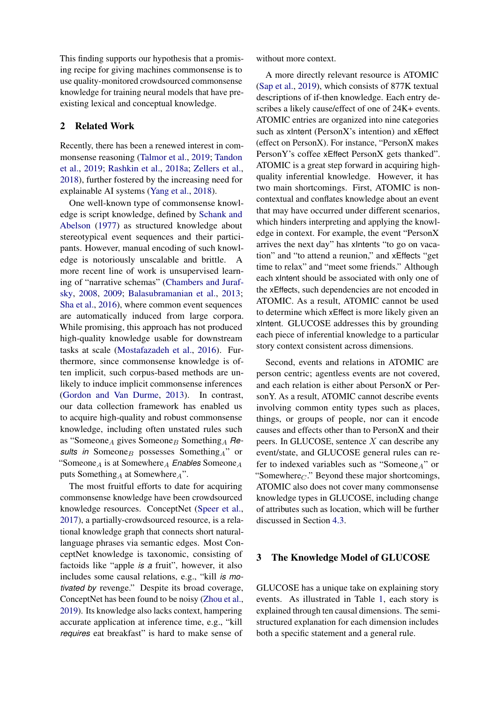This finding supports our hypothesis that a promising recipe for giving machines commonsense is to use quality-monitored crowdsourced commonsense knowledge for training neural models that have preexisting lexical and conceptual knowledge.

### 2 Related Work

Recently, there has been a renewed interest in commonsense reasoning [\(Talmor et al.,](#page-10-1) [2019;](#page-10-1) [Tandon](#page-10-2) [et al.,](#page-10-2) [2019;](#page-10-2) [Rashkin et al.,](#page-10-3) [2018a;](#page-10-3) [Zellers et al.,](#page-10-4) [2018\)](#page-10-4), further fostered by the increasing need for explainable AI systems [\(Yang et al.,](#page-10-5) [2018\)](#page-10-5).

One well-known type of commonsense knowledge is script knowledge, defined by [Schank and](#page-10-6) [Abelson](#page-10-6) [\(1977\)](#page-10-6) as structured knowledge about stereotypical event sequences and their participants. However, manual encoding of such knowledge is notoriously unscalable and brittle. A more recent line of work is unsupervised learning of "narrative schemas" [\(Chambers and Juraf](#page-9-2)[sky,](#page-9-2) [2008,](#page-9-2) [2009;](#page-9-3) [Balasubramanian et al.,](#page-9-4) [2013;](#page-9-4) [Sha et al.,](#page-10-7) [2016\)](#page-10-7), where common event sequences are automatically induced from large corpora. While promising, this approach has not produced high-quality knowledge usable for downstream tasks at scale [\(Mostafazadeh et al.,](#page-10-0) [2016\)](#page-10-0). Furthermore, since commonsense knowledge is often implicit, such corpus-based methods are unlikely to induce implicit commonsense inferences [\(Gordon and Van Durme,](#page-9-5) [2013\)](#page-9-5). In contrast, our data collection framework has enabled us to acquire high-quality and robust commonsense knowledge, including often unstated rules such as "Someone<sub>A</sub> gives Someone<sub>B</sub> Something<sub>A</sub> Results in Someone<sub>B</sub> possesses Something<sub>A</sub>" or "Someone<sub>A</sub> is at Somewhere<sub>A</sub> *Enables* Someone<sub>A</sub> puts Something<sub>A</sub> at Somewhere<sub>A</sub>".

The most fruitful efforts to date for acquiring commonsense knowledge have been crowdsourced knowledge resources. ConceptNet [\(Speer et al.,](#page-10-8) [2017\)](#page-10-8), a partially-crowdsourced resource, is a relational knowledge graph that connects short naturallanguage phrases via semantic edges. Most ConceptNet knowledge is taxonomic, consisting of factoids like "apple *is a* fruit", however, it also includes some causal relations, e.g., "kill *is motivated by* revenge." Despite its broad coverage, ConceptNet has been found to be noisy [\(Zhou et al.,](#page-11-1) [2019\)](#page-11-1). Its knowledge also lacks context, hampering accurate application at inference time, e.g., "kill *requires* eat breakfast" is hard to make sense of

without more context.

A more directly relevant resource is ATOMIC [\(Sap et al.,](#page-10-9) [2019\)](#page-10-9), which consists of 877K textual descriptions of if-then knowledge. Each entry describes a likely cause/effect of one of 24K+ events. ATOMIC entries are organized into nine categories such as xIntent (PersonX's intention) and xEffect (effect on PersonX). For instance, "PersonX makes PersonY's coffee xEffect PersonX gets thanked". ATOMIC is a great step forward in acquiring highquality inferential knowledge. However, it has two main shortcomings. First, ATOMIC is noncontextual and conflates knowledge about an event that may have occurred under different scenarios, which hinders interpreting and applying the knowledge in context. For example, the event "PersonX arrives the next day" has xIntents "to go on vacation" and "to attend a reunion," and xEffects "get time to relax" and "meet some friends." Although each xIntent should be associated with only one of the xEffects, such dependencies are not encoded in ATOMIC. As a result, ATOMIC cannot be used to determine which xEffect is more likely given an xIntent. GLUCOSE addresses this by grounding each piece of inferential knowledge to a particular story context consistent across dimensions.

Second, events and relations in ATOMIC are person centric; agentless events are not covered, and each relation is either about PersonX or PersonY. As a result, ATOMIC cannot describe events involving common entity types such as places, things, or groups of people, nor can it encode causes and effects other than to PersonX and their peers. In GLUCOSE, sentence X can describe any event/state, and GLUCOSE general rules can refer to indexed variables such as "Someone $_A$ " or "Somewhere $_{C}$ ." Beyond these major shortcomings, ATOMIC also does not cover many commonsense knowledge types in GLUCOSE, including change of attributes such as location, which will be further discussed in Section [4.3.](#page-4-0)

### 3 The Knowledge Model of GLUCOSE

GLUCOSE has a unique take on explaining story events. As illustrated in Table [1,](#page-1-1) each story is explained through ten causal dimensions. The semistructured explanation for each dimension includes both a specific statement and a general rule.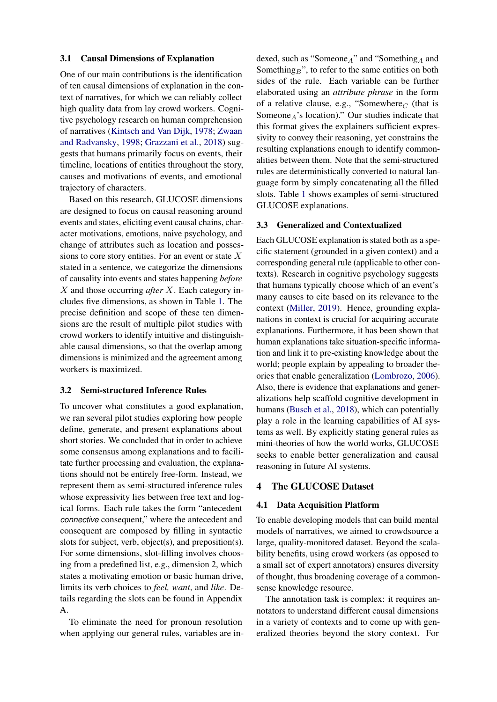#### 3.1 Causal Dimensions of Explanation

One of our main contributions is the identification of ten causal dimensions of explanation in the context of narratives, for which we can reliably collect high quality data from lay crowd workers. Cognitive psychology research on human comprehension of narratives [\(Kintsch and Van Dijk,](#page-9-0) [1978;](#page-9-0) [Zwaan](#page-11-2) [and Radvansky,](#page-11-2) [1998;](#page-11-2) [Grazzani et al.,](#page-9-6) [2018\)](#page-9-6) suggests that humans primarily focus on events, their timeline, locations of entities throughout the story, causes and motivations of events, and emotional trajectory of characters.

Based on this research, GLUCOSE dimensions are designed to focus on causal reasoning around events and states, eliciting event causal chains, character motivations, emotions, naive psychology, and change of attributes such as location and possessions to core story entities. For an event or state  $X$ stated in a sentence, we categorize the dimensions of causality into events and states happening *before* X and those occurring *after* X. Each category includes five dimensions, as shown in Table [1.](#page-1-1) The precise definition and scope of these ten dimensions are the result of multiple pilot studies with crowd workers to identify intuitive and distinguishable causal dimensions, so that the overlap among dimensions is minimized and the agreement among workers is maximized.

### 3.2 Semi-structured Inference Rules

To uncover what constitutes a good explanation, we ran several pilot studies exploring how people define, generate, and present explanations about short stories. We concluded that in order to achieve some consensus among explanations and to facilitate further processing and evaluation, the explanations should not be entirely free-form. Instead, we represent them as semi-structured inference rules whose expressivity lies between free text and logical forms. Each rule takes the form "antecedent *connective* consequent," where the antecedent and consequent are composed by filling in syntactic slots for subject, verb, object(s), and preposition(s). For some dimensions, slot-filling involves choosing from a predefined list, e.g., dimension 2, which states a motivating emotion or basic human drive, limits its verb choices to *feel, want*, and *like*. Details regarding the slots can be found in Appendix A.

To eliminate the need for pronoun resolution when applying our general rules, variables are in-

dexed, such as "Someone $_A$ " and "Something $_A$  and Something<sub>B</sub>", to refer to the same entities on both sides of the rule. Each variable can be further elaborated using an *attribute phrase* in the form of a relative clause, e.g., "Somewhere $_C$  (that is Someone $_A$ 's location)." Our studies indicate that this format gives the explainers sufficient expressivity to convey their reasoning, yet constrains the resulting explanations enough to identify commonalities between them. Note that the semi-structured rules are deterministically converted to natural language form by simply concatenating all the filled slots. Table [1](#page-1-1) shows examples of semi-structured GLUCOSE explanations.

### 3.3 Generalized and Contextualized

Each GLUCOSE explanation is stated both as a specific statement (grounded in a given context) and a corresponding general rule (applicable to other contexts). Research in cognitive psychology suggests that humans typically choose which of an event's many causes to cite based on its relevance to the context [\(Miller,](#page-9-7) [2019\)](#page-9-7). Hence, grounding explanations in context is crucial for acquiring accurate explanations. Furthermore, it has been shown that human explanations take situation-specific information and link it to pre-existing knowledge about the world; people explain by appealing to broader theories that enable generalization [\(Lombrozo,](#page-9-8) [2006\)](#page-9-8). Also, there is evidence that explanations and generalizations help scaffold cognitive development in humans [\(Busch et al.,](#page-9-9) [2018\)](#page-9-9), which can potentially play a role in the learning capabilities of AI systems as well. By explicitly stating general rules as mini-theories of how the world works, GLUCOSE seeks to enable better generalization and causal reasoning in future AI systems.

#### 4 The GLUCOSE Dataset

#### 4.1 Data Acquisition Platform

To enable developing models that can build mental models of narratives, we aimed to crowdsource a large, quality-monitored dataset. Beyond the scalability benefits, using crowd workers (as opposed to a small set of expert annotators) ensures diversity of thought, thus broadening coverage of a commonsense knowledge resource.

The annotation task is complex: it requires annotators to understand different causal dimensions in a variety of contexts and to come up with generalized theories beyond the story context. For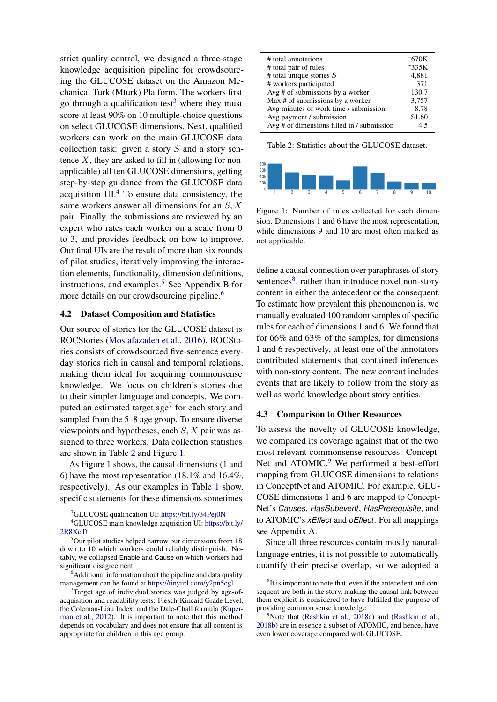strict quality control, we designed a three-stage knowledge acquisition pipeline for crowdsourcing the GLUCOSE dataset on the Amazon Mechanical Turk (Mturk) Platform. The workers first go through a qualification test<sup>[3](#page-4-1)</sup> where they must score at least 90% on 10 multiple-choice questions on select GLUCOSE dimensions. Next, qualified workers can work on the main GLUCOSE data collection task: given a story  $S$  and a story sentence  $X$ , they are asked to fill in (allowing for nonapplicable) all ten GLUCOSE dimensions, getting step-by-step guidance from the GLUCOSE data acquisition UI.[4](#page-4-2) To ensure data consistency, the same workers answer all dimensions for an S, X pair. Finally, the submissions are reviewed by an expert who rates each worker on a scale from 0 to 3, and provides feedback on how to improve. Our final UIs are the result of more than six rounds of pilot studies, iteratively improving the interaction elements, functionality, dimension definitions, instructions, and examples.<sup>[5](#page-4-3)</sup> See Appendix B for more details on our crowdsourcing pipeline.<sup>[6](#page-4-4)</sup>

## 4.2 Dataset Composition and Statistics

Our source of stories for the GLUCOSE dataset is ROCStories [\(Mostafazadeh et al.,](#page-10-0) [2016\)](#page-10-0). ROCStories consists of crowdsourced five-sentence everyday stories rich in causal and temporal relations, making them ideal for acquiring commonsense knowledge. We focus on children's stories due to their simpler language and concepts. We com-puted an estimated target age<sup>[7](#page-4-5)</sup> for each story and sampled from the 5–8 age group. To ensure diverse viewpoints and hypotheses, each S, X pair was assigned to three workers. Data collection statistics are shown in Table [2](#page-4-6) and Figure [1.](#page-4-7)

As Figure [1](#page-4-7) shows, the causal dimensions (1 and 6) have the most representation (18.1% and 16.4%, respectively). As our examples in Table [1](#page-1-1) show, specific statements for these dimensions sometimes

<span id="page-4-6"></span>

| # total annotations<br># total pair of rules<br># total unique stories $S$ | $\tilde{C}$ 670K<br>$\tilde{c}$ 335K<br>4,881 |
|----------------------------------------------------------------------------|-----------------------------------------------|
| # workers participated                                                     | 371                                           |
| Avg $#$ of submissions by a worker                                         | 130.7                                         |
| Max # of submissions by a worker                                           | 3,757                                         |
| Avg minutes of work time / submission                                      | 8.78                                          |
| Avg payment / submission                                                   | \$1.60                                        |
| Avg $#$ of dimensions filled in / submission                               | 4.5                                           |
|                                                                            |                                               |

Table 2: Statistics about the GLUCOSE dataset.

<span id="page-4-7"></span>

Figure 1: Number of rules collected for each dimension. Dimensions 1 and 6 have the most representation, while dimensions 9 and 10 are most often marked as not applicable.

define a causal connection over paraphrases of story sentences<sup>[8](#page-4-8)</sup>, rather than introduce novel non-story content in either the antecedent or the consequent. To estimate how prevalent this phenomenon is, we manually evaluated 100 random samples of specific rules for each of dimensions 1 and 6. We found that for 66% and 63% of the samples, for dimensions 1 and 6 respectively, at least one of the annotators contributed statements that contained inferences with non-story content. The new content includes events that are likely to follow from the story as well as world knowledge about story entities.

#### <span id="page-4-0"></span>4.3 Comparison to Other Resources

To assess the novelty of GLUCOSE knowledge, we compared its coverage against that of the two most relevant commonsense resources: Concept-Net and ATOMIC.<sup>[9](#page-4-9)</sup> We performed a best-effort mapping from GLUCOSE dimensions to relations in ConceptNet and ATOMIC. For example, GLU-COSE dimensions 1 and 6 are mapped to Concept-Net's *Causes*, *HasSubevent*, *HasPrerequisite*, and to ATOMIC's *xEffect* and *oEffect*. For all mappings see Appendix A.

Since all three resources contain mostly naturallanguage entries, it is not possible to automatically quantify their precise overlap, so we adopted a

<span id="page-4-2"></span><span id="page-4-1"></span><sup>&</sup>lt;sup>3</sup>GLUCOSE qualification UI: <https://bit.ly/34Pej0N>

<sup>4</sup>GLUCOSE main knowledge acquisition UI: [https://bit.ly/](https://bit.ly/2R8XcTt) [2R8XcTt](https://bit.ly/2R8XcTt)

<span id="page-4-3"></span><sup>&</sup>lt;sup>5</sup>Our pilot studies helped narrow our dimensions from 18 down to 10 which workers could reliably distinguish. Notably, we collapsed Enable and Cause on which workers had significant disagreement.

<span id="page-4-4"></span><sup>&</sup>lt;sup>6</sup>Additional information about the pipeline and data quality management can be found at <https://tinyurl.com/y2pn5cgl>

<span id="page-4-5"></span> $7$ Target age of individual stories was judged by age-ofacquisition and readability tests: Flesch-Kincaid Grade Level, the Coleman-Liau Index, and the Dale-Chall formula [\(Kuper](#page-9-10)[man et al.,](#page-9-10) [2012\)](#page-9-10). It is important to note that this method depends on vocabulary and does not ensure that all content is appropriate for children in this age group.

<span id="page-4-8"></span><sup>&</sup>lt;sup>8</sup>It is important to note that, even if the antecedent and consequent are both in the story, making the causal link between them explicit is considered to have fulfilled the purpose of providing common sense knowledge.

<span id="page-4-9"></span><sup>&</sup>lt;sup>9</sup>Note that [\(Rashkin et al.,](#page-10-10) [2018a\)](#page-10-3) and (Rashkin et al., [2018b\)](#page-10-10) are in essence a subset of ATOMIC, and hence, have even lower coverage compared with GLUCOSE.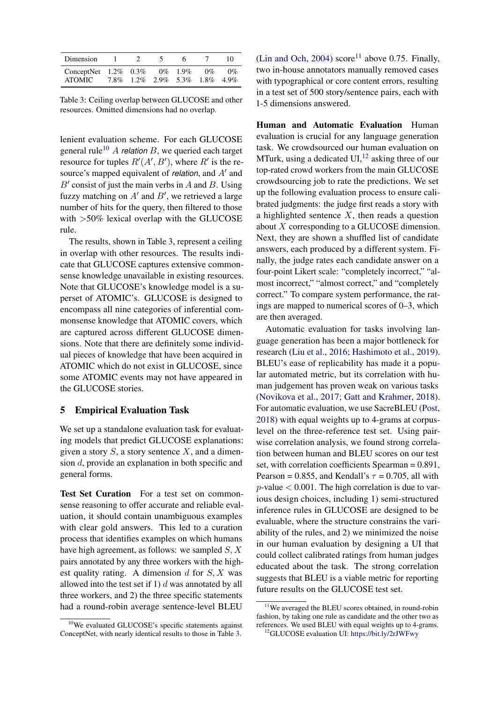<span id="page-5-1"></span>

| Dimension                          |  |                                     |            |       | 10    |
|------------------------------------|--|-------------------------------------|------------|-------|-------|
| ConceptNet $1.2\%$ 0.3%<br>ATOMIC. |  | 7.8\% 1.2\% 2.9\% 5.3\% 1.8\% 4.9\% | $0\%$ 1.9% | $0\%$ | $0\%$ |

Table 3: Ceiling overlap between GLUCOSE and other resources. Omitted dimensions had no overlap.

lenient evaluation scheme. For each GLUCOSE general rule<sup>[10](#page-5-0)</sup> A *relation* B, we queried each target resource for tuples  $R'(A', B')$ , where  $R'$  is the resource's mapped equivalent of *relation*, and A' and  $B'$  consist of just the main verbs in A and B. Using fuzzy matching on  $A'$  and  $B'$ , we retrieved a large number of hits for the query, then filtered to those with  $>50\%$  lexical overlap with the GLUCOSE rule.

The results, shown in Table [3,](#page-5-1) represent a ceiling in overlap with other resources. The results indicate that GLUCOSE captures extensive commonsense knowledge unavailable in existing resources. Note that GLUCOSE's knowledge model is a superset of ATOMIC's. GLUCOSE is designed to encompass all nine categories of inferential commonsense knowledge that ATOMIC covers, which are captured across different GLUCOSE dimensions. Note that there are definitely some individual pieces of knowledge that have been acquired in ATOMIC which do not exist in GLUCOSE, since some ATOMIC events may not have appeared in the GLUCOSE stories.

### <span id="page-5-4"></span>5 Empirical Evaluation Task

We set up a standalone evaluation task for evaluating models that predict GLUCOSE explanations: given a story  $S$ , a story sentence  $X$ , and a dimension d, provide an explanation in both specific and general forms.

Test Set Curation For a test set on commonsense reasoning to offer accurate and reliable evaluation, it should contain unambiguous examples with clear gold answers. This led to a curation process that identifies examples on which humans have high agreement, as follows: we sampled  $S, X$ pairs annotated by any three workers with the highest quality rating. A dimension  $d$  for  $S, X$  was allowed into the test set if 1)  $d$  was annotated by all three workers, and 2) the three specific statements had a round-robin average sentence-level BLEU

[\(Lin and Och,](#page-9-11) [2004\)](#page-9-11) score<sup>[11](#page-5-2)</sup> above 0.75. Finally, two in-house annotators manually removed cases with typographical or core content errors, resulting in a test set of 500 story/sentence pairs, each with 1-5 dimensions answered.

Human and Automatic Evaluation Human evaluation is crucial for any language generation task. We crowdsourced our human evaluation on MTurk, using a dedicated  $UI<sub>12</sub>$  $UI<sub>12</sub>$  $UI<sub>12</sub>$  asking three of our top-rated crowd workers from the main GLUCOSE crowdsourcing job to rate the predictions. We set up the following evaluation process to ensure calibrated judgments: the judge first reads a story with a highlighted sentence  $X$ , then reads a question about X corresponding to a GLUCOSE dimension. Next, they are shown a shuffled list of candidate answers, each produced by a different system. Finally, the judge rates each candidate answer on a four-point Likert scale: "completely incorrect," "almost incorrect," "almost correct," and "completely correct." To compare system performance, the ratings are mapped to numerical scores of 0–3, which are then averaged.

Automatic evaluation for tasks involving language generation has been a major bottleneck for research [\(Liu et al.,](#page-9-12) [2016;](#page-9-12) [Hashimoto et al.,](#page-9-13) [2019\)](#page-9-13). BLEU's ease of replicability has made it a popular automated metric, but its correlation with human judgement has proven weak on various tasks [\(Novikova et al.,](#page-10-11) [2017;](#page-10-11) [Gatt and Krahmer,](#page-9-14) [2018\)](#page-9-14). For automatic evaluation, we use SacreBLEU [\(Post,](#page-10-12) [2018\)](#page-10-12) with equal weights up to 4-grams at corpuslevel on the three-reference test set. Using pairwise correlation analysis, we found strong correlation between human and BLEU scores on our test set, with correlation coefficients Spearman = 0.891, Pearson = 0.855, and Kendall's  $\tau$  = 0.705, all with  $p$ -value  $< 0.001$ . The high correlation is due to various design choices, including 1) semi-structured inference rules in GLUCOSE are designed to be evaluable, where the structure constrains the variability of the rules, and 2) we minimized the noise in our human evaluation by designing a UI that could collect calibrated ratings from human judges educated about the task. The strong correlation suggests that BLEU is a viable metric for reporting future results on the GLUCOSE test set.

<span id="page-5-0"></span><sup>&</sup>lt;sup>10</sup>We evaluated GLUCOSE's specific statements against ConceptNet, with nearly identical results to those in Table [3.](#page-5-1)

<span id="page-5-2"></span><sup>&</sup>lt;sup>11</sup>We averaged the BLEU scores obtained, in round-robin fashion, by taking one rule as candidate and the other two as references. We used BLEU with equal weights up to 4-grams.

<span id="page-5-3"></span><sup>12</sup>GLUCOSE evaluation UI: <https://bit.ly/2rJWFwy>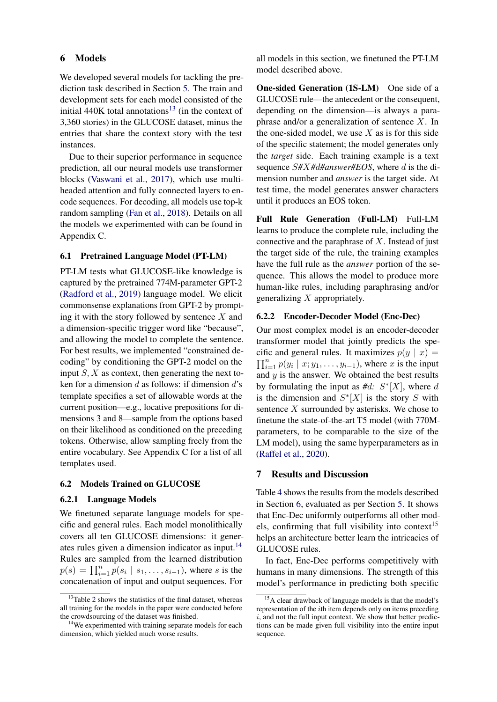### <span id="page-6-2"></span>6 Models

We developed several models for tackling the prediction task described in Section [5.](#page-5-4) The train and development sets for each model consisted of the initial 440K total annotations<sup>[13](#page-6-0)</sup> (in the context of 3,360 stories) in the GLUCOSE dataset, minus the entries that share the context story with the test instances.

Due to their superior performance in sequence prediction, all our neural models use transformer blocks [\(Vaswani et al.,](#page-10-13) [2017\)](#page-10-13), which use multiheaded attention and fully connected layers to encode sequences. For decoding, all models use top-k random sampling [\(Fan et al.,](#page-9-15) [2018\)](#page-9-15). Details on all the models we experimented with can be found in Appendix C.

#### 6.1 Pretrained Language Model (PT-LM)

PT-LM tests what GLUCOSE-like knowledge is captured by the pretrained 774M-parameter GPT-2 [\(Radford et al.,](#page-10-14) [2019\)](#page-10-14) language model. We elicit commonsense explanations from GPT-2 by prompting it with the story followed by sentence  $X$  and a dimension-specific trigger word like "because", and allowing the model to complete the sentence. For best results, we implemented "constrained decoding" by conditioning the GPT-2 model on the input  $S, X$  as context, then generating the next token for a dimension  $d$  as follows: if dimension  $d$ 's template specifies a set of allowable words at the current position—e.g., locative prepositions for dimensions 3 and 8—sample from the options based on their likelihood as conditioned on the preceding tokens. Otherwise, allow sampling freely from the entire vocabulary. See Appendix C for a list of all templates used.

#### 6.2 Models Trained on GLUCOSE

#### 6.2.1 Language Models

We finetuned separate language models for specific and general rules. Each model monolithically covers all ten GLUCOSE dimensions: it generates rules given a dimension indicator as input.[14](#page-6-1) Rules are sampled from the learned distribution  $p(s) = \prod_{i=1}^{n} p(s_i \mid s_1, \dots, s_{i-1})$ , where s is the concatenation of input and output sequences. For all models in this section, we finetuned the PT-LM model described above.

One-sided Generation (1S-LM) One side of a GLUCOSE rule—the antecedent or the consequent, depending on the dimension—is always a paraphrase and/or a generalization of sentence  $X$ . In the one-sided model, we use  $X$  as is for this side of the specific statement; the model generates only the *target* side. Each training example is a text sequence S*#*X*#*d*#answer#EOS*, where d is the dimension number and *answer* is the target side. At test time, the model generates answer characters until it produces an EOS token.

Full Rule Generation (Full-LM) Full-LM learns to produce the complete rule, including the connective and the paraphrase of  $X$ . Instead of just the target side of the rule, the training examples have the full rule as the *answer* portion of the sequence. This allows the model to produce more human-like rules, including paraphrasing and/or generalizing  $X$  appropriately.

#### 6.2.2 Encoder-Decoder Model (Enc-Dec)

Our most complex model is an encoder-decoder transformer model that jointly predicts the specific and general rules. It maximizes  $p(y | x) =$  $\prod_{i=1}^{n} p(y_i | x; y_1, \ldots, y_{i-1})$ , where x is the input and  $y$  is the answer. We obtained the best results by formulating the input as  $#d$ :  $S^*[X]$ , where d is the dimension and  $S^*[X]$  is the story S with sentence  $X$  surrounded by asterisks. We chose to finetune the state-of-the-art T5 model (with 770Mparameters, to be comparable to the size of the LM model), using the same hyperparameters as in [\(Raffel et al.,](#page-10-15) [2020\)](#page-10-15).

### 7 Results and Discussion

Table [4](#page-7-0) shows the results from the models described in Section [6,](#page-6-2) evaluated as per Section [5.](#page-5-4) It shows that Enc-Dec uniformly outperforms all other mod-els, confirming that full visibility into context<sup>[15](#page-6-3)</sup> helps an architecture better learn the intricacies of GLUCOSE rules.

In fact, Enc-Dec performs competitively with humans in many dimensions. The strength of this model's performance in predicting both specific

<span id="page-6-0"></span> $13$ Table [2](#page-4-6) shows the statistics of the final dataset, whereas all training for the models in the paper were conducted before the crowdsourcing of the dataset was finished.

<span id="page-6-1"></span><sup>&</sup>lt;sup>14</sup>We experimented with training separate models for each dimension, which yielded much worse results.

<span id="page-6-3"></span><sup>&</sup>lt;sup>15</sup>A clear drawback of language models is that the model's representation of the ith item depends only on items preceding  $i$ , and not the full input context. We show that better predictions can be made given full visibility into the entire input sequence.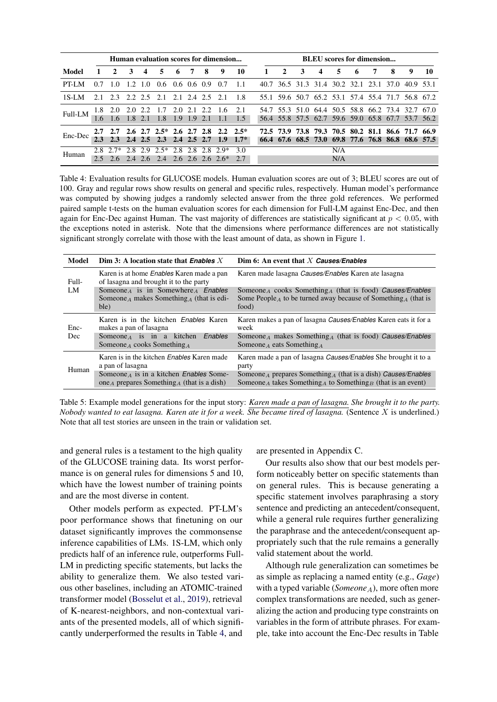<span id="page-7-0"></span>

|          |               |              |         |                  |                                     |               |                |     | Human evaluation scores for dimension               |                                                                                   |              |                |    |   |            |     | <b>BLEU</b> scores for dimension |                                                                                                        |   |    |
|----------|---------------|--------------|---------|------------------|-------------------------------------|---------------|----------------|-----|-----------------------------------------------------|-----------------------------------------------------------------------------------|--------------|----------------|----|---|------------|-----|----------------------------------|--------------------------------------------------------------------------------------------------------|---|----|
| Model    |               | $\mathbf{2}$ | 3       | $\boldsymbol{4}$ | 5.                                  | - 6           | $\overline{7}$ | - 8 | 9                                                   | - 10                                                                              | $\mathbf{1}$ | $\overline{2}$ | -3 | 4 | 5.         | - 6 | 7                                | 8                                                                                                      | 9 | 10 |
| PT-LM    | 0.7           | $\pm 0$      |         |                  |                                     |               |                |     |                                                     | 1.2 1.0 0.6 0.6 0.6 0.9 0.7 1.1 40.7 36.5 31.3 31.4 30.2 32.1 23.1 37.0 40.9 53.1 |              |                |    |   |            |     |                                  |                                                                                                        |   |    |
| $1S-I.M$ |               |              |         |                  | 2.1 2.3 2.2 2.5 2.1 2.1 2.4 2.5     |               |                |     | 21                                                  | 1.8                                                                               |              |                |    |   |            |     |                                  | 55.1 59.6 50.7 65.2 53.1 57.4 55.4 71.7 56.8 67.2                                                      |   |    |
| Full-LM  | $1.6^{\circ}$ | 1.8 2.0      | 1.8 2.1 | 2.0 2.2          | $1.7$ $2.0$ $2.1$ $2.2$<br>1.8      | $1.9$ 1.9 2.1 |                |     | - 1.6<br>$-1.1$                                     | 2.1<br>1.5                                                                        |              |                |    |   |            |     |                                  | 54.7 55.3 51.0 64.4 50.5 58.8 66.2 73.4 32.7 67.0<br>56.4 55.8 57.5 62.7 59.6 59.0 65.8 67.7 53.7 56.2 |   |    |
| Enc-Dec  | 2.3           |              |         |                  | 2.3 2.4 2.5 2.3 2.4 2.5 2.7         |               |                |     | 2.7 2.7 2.6 2.7 2.5* 2.6 2.7 2.8 2.2 2.5*<br>1.9    | $1.7*$                                                                            |              |                |    |   |            |     |                                  | 72.5 73.9 73.8 79.3 70.5 80.2 81.1 86.6 71.7 66.9<br>66.4 67.6 68.5 73.0 69.8 77.6 76.8 86.8 68.6 57.5 |   |    |
| Human    |               |              |         |                  | $2.8$ $2.7*$ 2.8 2.9 $2.5*$ 2.8 2.8 |               |                | 2.8 | $2.9*$<br>$2.5$ 2.6 2.4 2.6 2.4 2.6 2.6 2.6 2.6 $*$ | 3.0<br>2.7                                                                        |              |                |    |   | N/A<br>N/A |     |                                  |                                                                                                        |   |    |

Table 4: Evaluation results for GLUCOSE models. Human evaluation scores are out of 3; BLEU scores are out of 100. Gray and regular rows show results on general and specific rules, respectively. Human model's performance was computed by showing judges a randomly selected answer from the three gold references. We performed paired sample t-tests on the human evaluation scores for each dimension for Full-LM against Enc-Dec, and then again for Enc-Dec against Human. The vast majority of differences are statistically significant at  $p < 0.05$ , with the exceptions noted in asterisk. Note that the dimensions where performance differences are not statistically significant strongly correlate with those with the least amount of data, as shown in Figure [1.](#page-4-7)

<span id="page-7-1"></span>

| Model | Dim 3: A location state that Enables $X$                                                                       | Dim 6: An event that X Causes/Enables                                                                                                                                                    |
|-------|----------------------------------------------------------------------------------------------------------------|------------------------------------------------------------------------------------------------------------------------------------------------------------------------------------------|
| Full- | Karen is at home <i>Enables</i> Karen made a pan<br>of lasagna and brought it to the party                     | Karen made lasagna Causes/Enables Karen ate lasagna                                                                                                                                      |
| LM    | Someone <sub>A</sub> is in Somewhere <sub>A</sub> Enables<br>Someone A makes Something A (that is edi-<br>ble) | Someone <sub>A</sub> cooks Something <sub>A</sub> (that is food) <i>Causes/Enables</i><br>Some People <sub>A</sub> to be turned away because of Something <sub>A</sub> (that is<br>food) |
| Enc-  | Karen is in the kitchen <i>Enables</i> Karen<br>makes a pan of lasagna                                         | Karen makes a pan of lasagna Causes/Enables Karen eats it for a<br>week                                                                                                                  |
| Dec   | Someone $\alpha$ is in a kitchen<br>Enables<br>Someone $_A$ cooks Something $_A$                               | Someone <sub>A</sub> makes Something <sub>A</sub> (that is food) <i>Causes</i> / <i>Enables</i><br>Someone <sub>A</sub> eats Something <sub>A</sub>                                      |
| Human | Karen is in the kitchen <i>Enables</i> Karen made<br>a pan of lasagna                                          | Karen made a pan of lasagna Causes/Enables She brought it to a<br>party                                                                                                                  |
|       | Someone <sub>A</sub> is in a kitchen <i>Enables</i> Some-<br>one A prepares Something A (that is a dish)       | Someone <sub>A</sub> prepares Something <sub>A</sub> (that is a dish) Causes/Enables<br>Someone <sub>A</sub> takes Something <sub>A</sub> to Something <sub>B</sub> (that is an event)   |

Table 5: Example model generations for the input story: *Karen made a pan of lasagna. She brought it to the party. Nobody wanted to eat lasagna. Karen ate it for a week. She became tired of lasagna.* (Sentence X is underlined.) Note that all test stories are unseen in the train or validation set.

and general rules is a testament to the high quality of the GLUCOSE training data. Its worst performance is on general rules for dimensions 5 and 10, which have the lowest number of training points and are the most diverse in content.

Other models perform as expected. PT-LM's poor performance shows that finetuning on our dataset significantly improves the commonsense inference capabilities of LMs. 1S-LM, which only predicts half of an inference rule, outperforms Full-LM in predicting specific statements, but lacks the ability to generalize them. We also tested various other baselines, including an ATOMIC-trained transformer model [\(Bosselut et al.,](#page-9-16) [2019\)](#page-9-16), retrieval of K-nearest-neighbors, and non-contextual variants of the presented models, all of which significantly underperformed the results in Table [4,](#page-7-0) and

are presented in Appendix C.

Our results also show that our best models perform noticeably better on specific statements than on general rules. This is because generating a specific statement involves paraphrasing a story sentence and predicting an antecedent/consequent, while a general rule requires further generalizing the paraphrase and the antecedent/consequent appropriately such that the rule remains a generally valid statement about the world.

Although rule generalization can sometimes be as simple as replacing a named entity (e.g., *Gage*) with a typed variable ( $Someone_A$ ), more often more complex transformations are needed, such as generalizing the action and producing type constraints on variables in the form of attribute phrases. For example, take into account the Enc-Dec results in Table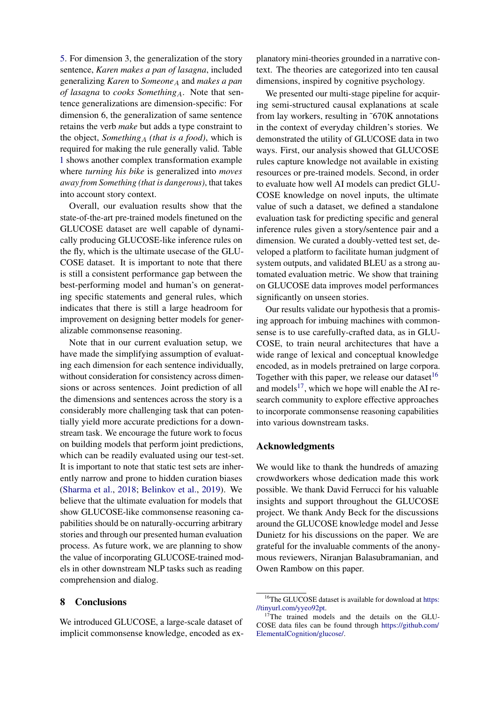[5.](#page-7-1) For dimension 3, the generalization of the story sentence, *Karen makes a pan of lasagna*, included generalizing *Karen* to *Someone*<sub>A</sub> and *makes* a pan *of lasagna* to *cooks Something*<sub>A</sub>. Note that sentence generalizations are dimension-specific: For dimension 6, the generalization of same sentence retains the verb *make* but adds a type constraint to the object, *Something*<sub>A</sub> *(that is a food)*, which is required for making the rule generally valid. Table [1](#page-1-1) shows another complex transformation example where *turning his bike* is generalized into *moves away from Something (that is dangerous)*, that takes into account story context.

Overall, our evaluation results show that the state-of-the-art pre-trained models finetuned on the GLUCOSE dataset are well capable of dynamically producing GLUCOSE-like inference rules on the fly, which is the ultimate usecase of the GLU-COSE dataset. It is important to note that there is still a consistent performance gap between the best-performing model and human's on generating specific statements and general rules, which indicates that there is still a large headroom for improvement on designing better models for generalizable commonsense reasoning.

Note that in our current evaluation setup, we have made the simplifying assumption of evaluating each dimension for each sentence individually, without consideration for consistency across dimensions or across sentences. Joint prediction of all the dimensions and sentences across the story is a considerably more challenging task that can potentially yield more accurate predictions for a downstream task. We encourage the future work to focus on building models that perform joint predictions, which can be readily evaluated using our test-set. It is important to note that static test sets are inherently narrow and prone to hidden curation biases [\(Sharma et al.,](#page-10-16) [2018;](#page-10-16) [Belinkov et al.,](#page-9-17) [2019\)](#page-9-17). We believe that the ultimate evaluation for models that show GLUCOSE-like commonsense reasoning capabilities should be on naturally-occurring arbitrary stories and through our presented human evaluation process. As future work, we are planning to show the value of incorporating GLUCOSE-trained models in other downstream NLP tasks such as reading comprehension and dialog.

# 8 Conclusions

We introduced GLUCOSE, a large-scale dataset of implicit commonsense knowledge, encoded as explanatory mini-theories grounded in a narrative context. The theories are categorized into ten causal dimensions, inspired by cognitive psychology.

We presented our multi-stage pipeline for acquiring semi-structured causal explanations at scale from lay workers, resulting in ˜670K annotations in the context of everyday children's stories. We demonstrated the utility of GLUCOSE data in two ways. First, our analysis showed that GLUCOSE rules capture knowledge not available in existing resources or pre-trained models. Second, in order to evaluate how well AI models can predict GLU-COSE knowledge on novel inputs, the ultimate value of such a dataset, we defined a standalone evaluation task for predicting specific and general inference rules given a story/sentence pair and a dimension. We curated a doubly-vetted test set, developed a platform to facilitate human judgment of system outputs, and validated BLEU as a strong automated evaluation metric. We show that training on GLUCOSE data improves model performances significantly on unseen stories.

Our results validate our hypothesis that a promising approach for imbuing machines with commonsense is to use carefully-crafted data, as in GLU-COSE, to train neural architectures that have a wide range of lexical and conceptual knowledge encoded, as in models pretrained on large corpora. Together with this paper, we release our dataset<sup>[16](#page-8-0)</sup> and models<sup>[17](#page-8-1)</sup>, which we hope will enable the AI research community to explore effective approaches to incorporate commonsense reasoning capabilities into various downstream tasks.

#### Acknowledgments

We would like to thank the hundreds of amazing crowdworkers whose dedication made this work possible. We thank David Ferrucci for his valuable insights and support throughout the GLUCOSE project. We thank Andy Beck for the discussions around the GLUCOSE knowledge model and Jesse Dunietz for his discussions on the paper. We are grateful for the invaluable comments of the anonymous reviewers, Niranjan Balasubramanian, and Owen Rambow on this paper.

<span id="page-8-0"></span><sup>&</sup>lt;sup>16</sup>The GLUCOSE dataset is available for download at [https:](https://tinyurl.com/yyeo92pt) [//tinyurl.com/yyeo92pt.](https://tinyurl.com/yyeo92pt)

<span id="page-8-1"></span><sup>&</sup>lt;sup>17</sup>The trained models and the details on the GLU-COSE data files can be found through [https://github.com/](https://github.com/ElementalCognition/glucose/) [ElementalCognition/glucose/.](https://github.com/ElementalCognition/glucose/)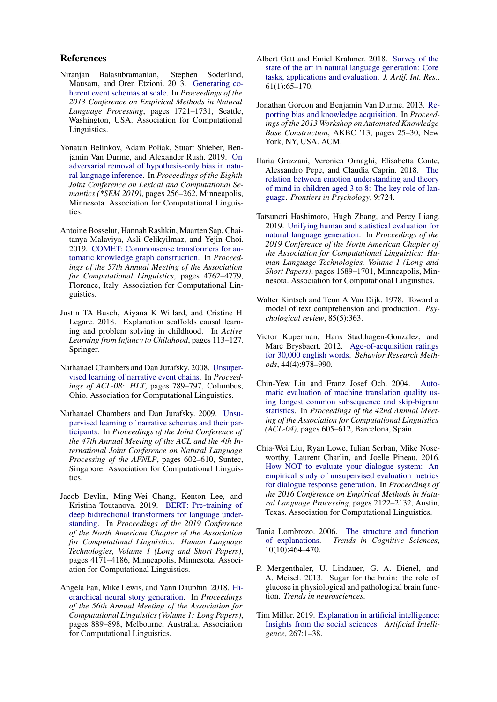#### References

- <span id="page-9-4"></span>Niranjan Balasubramanian, Stephen Soderland, Mausam, and Oren Etzioni. 2013. [Generating co](https://www.aclweb.org/anthology/D13-1178)[herent event schemas at scale.](https://www.aclweb.org/anthology/D13-1178) In *Proceedings of the 2013 Conference on Empirical Methods in Natural Language Processing*, pages 1721–1731, Seattle, Washington, USA. Association for Computational Linguistics.
- <span id="page-9-17"></span>Yonatan Belinkov, Adam Poliak, Stuart Shieber, Benjamin Van Durme, and Alexander Rush. 2019. [On](https://doi.org/10.18653/v1/S19-1028) [adversarial removal of hypothesis-only bias in natu](https://doi.org/10.18653/v1/S19-1028)[ral language inference.](https://doi.org/10.18653/v1/S19-1028) In *Proceedings of the Eighth Joint Conference on Lexical and Computational Semantics (\*SEM 2019)*, pages 256–262, Minneapolis, Minnesota. Association for Computational Linguistics.
- <span id="page-9-16"></span>Antoine Bosselut, Hannah Rashkin, Maarten Sap, Chaitanya Malaviya, Asli Celikyilmaz, and Yejin Choi. 2019. [COMET: Commonsense transformers for au](https://doi.org/10.18653/v1/P19-1470)[tomatic knowledge graph construction.](https://doi.org/10.18653/v1/P19-1470) In *Proceedings of the 57th Annual Meeting of the Association for Computational Linguistics*, pages 4762–4779, Florence, Italy. Association for Computational Linguistics.
- <span id="page-9-9"></span>Justin TA Busch, Aiyana K Willard, and Cristine H Legare. 2018. Explanation scaffolds causal learning and problem solving in childhood. In *Active Learning from Infancy to Childhood*, pages 113–127. Springer.
- <span id="page-9-2"></span>Nathanael Chambers and Dan Jurafsky. 2008. [Unsuper](https://www.aclweb.org/anthology/P08-1090)[vised learning of narrative event chains.](https://www.aclweb.org/anthology/P08-1090) In *Proceedings of ACL-08: HLT*, pages 789–797, Columbus, Ohio. Association for Computational Linguistics.
- <span id="page-9-3"></span>Nathanael Chambers and Dan Jurafsky. 2009. [Unsu](https://www.aclweb.org/anthology/P09-1068)[pervised learning of narrative schemas and their par](https://www.aclweb.org/anthology/P09-1068)[ticipants.](https://www.aclweb.org/anthology/P09-1068) In *Proceedings of the Joint Conference of the 47th Annual Meeting of the ACL and the 4th International Joint Conference on Natural Language Processing of the AFNLP*, pages 602–610, Suntec, Singapore. Association for Computational Linguistics.
- <span id="page-9-18"></span>Jacob Devlin, Ming-Wei Chang, Kenton Lee, and Kristina Toutanova. 2019. [BERT: Pre-training of](https://doi.org/10.18653/v1/N19-1423) [deep bidirectional transformers for language under](https://doi.org/10.18653/v1/N19-1423)[standing.](https://doi.org/10.18653/v1/N19-1423) In *Proceedings of the 2019 Conference of the North American Chapter of the Association for Computational Linguistics: Human Language Technologies, Volume 1 (Long and Short Papers)*, pages 4171–4186, Minneapolis, Minnesota. Association for Computational Linguistics.
- <span id="page-9-15"></span>Angela Fan, Mike Lewis, and Yann Dauphin. 2018. [Hi](https://doi.org/10.18653/v1/P18-1082)[erarchical neural story generation.](https://doi.org/10.18653/v1/P18-1082) In *Proceedings of the 56th Annual Meeting of the Association for Computational Linguistics (Volume 1: Long Papers)*, pages 889–898, Melbourne, Australia. Association for Computational Linguistics.
- <span id="page-9-14"></span>Albert Gatt and Emiel Krahmer. 2018. [Survey of the](http://dl.acm.org/citation.cfm?id=3241691.3241693) [state of the art in natural language generation: Core](http://dl.acm.org/citation.cfm?id=3241691.3241693) [tasks, applications and evaluation.](http://dl.acm.org/citation.cfm?id=3241691.3241693) *J. Artif. Int. Res.*, 61(1):65–170.
- <span id="page-9-5"></span>Jonathan Gordon and Benjamin Van Durme. 2013. [Re](https://doi.org/10.1145/2509558.2509563)[porting bias and knowledge acquisition.](https://doi.org/10.1145/2509558.2509563) In *Proceedings of the 2013 Workshop on Automated Knowledge Base Construction*, AKBC '13, pages 25–30, New York, NY, USA. ACM.
- <span id="page-9-6"></span>Ilaria Grazzani, Veronica Ornaghi, Elisabetta Conte, Alessandro Pepe, and Claudia Caprin. 2018. [The](https://doi.org/10.3389/fpsyg.2018.00724) [relation between emotion understanding and theory](https://doi.org/10.3389/fpsyg.2018.00724) [of mind in children aged 3 to 8: The key role of lan](https://doi.org/10.3389/fpsyg.2018.00724)[guage.](https://doi.org/10.3389/fpsyg.2018.00724) *Frontiers in Psychology*, 9:724.
- <span id="page-9-13"></span>Tatsunori Hashimoto, Hugh Zhang, and Percy Liang. 2019. [Unifying human and statistical evaluation for](https://doi.org/10.18653/v1/N19-1169) [natural language generation.](https://doi.org/10.18653/v1/N19-1169) In *Proceedings of the 2019 Conference of the North American Chapter of the Association for Computational Linguistics: Human Language Technologies, Volume 1 (Long and Short Papers)*, pages 1689–1701, Minneapolis, Minnesota. Association for Computational Linguistics.
- <span id="page-9-0"></span>Walter Kintsch and Teun A Van Dijk. 1978. Toward a model of text comprehension and production. *Psychological review*, 85(5):363.
- <span id="page-9-10"></span>Victor Kuperman, Hans Stadthagen-Gonzalez, and Marc Brysbaert. 2012. [Age-of-acquisition ratings](https://doi.org/10.3758/s13428-012-0210-4) [for 30,000 english words.](https://doi.org/10.3758/s13428-012-0210-4) *Behavior Research Methods*, 44(4):978–990.
- <span id="page-9-11"></span>Chin-Yew Lin and Franz Josef Och. 2004. [Auto](https://doi.org/10.3115/1218955.1219032)[matic evaluation of machine translation quality us](https://doi.org/10.3115/1218955.1219032)[ing longest common subsequence and skip-bigram](https://doi.org/10.3115/1218955.1219032) [statistics.](https://doi.org/10.3115/1218955.1219032) In *Proceedings of the 42nd Annual Meeting of the Association for Computational Linguistics (ACL-04)*, pages 605–612, Barcelona, Spain.
- <span id="page-9-12"></span>Chia-Wei Liu, Ryan Lowe, Iulian Serban, Mike Noseworthy, Laurent Charlin, and Joelle Pineau. 2016. [How NOT to evaluate your dialogue system: An](https://doi.org/10.18653/v1/D16-1230) [empirical study of unsupervised evaluation metrics](https://doi.org/10.18653/v1/D16-1230) [for dialogue response generation.](https://doi.org/10.18653/v1/D16-1230) In *Proceedings of the 2016 Conference on Empirical Methods in Natural Language Processing*, pages 2122–2132, Austin, Texas. Association for Computational Linguistics.
- <span id="page-9-8"></span>Tania Lombrozo. 2006. [The structure and function](https://doi.org/10.1016/j.tics.2006.08.004) [of explanations.](https://doi.org/10.1016/j.tics.2006.08.004) *Trends in Cognitive Sciences*, 10(10):464–470.
- <span id="page-9-1"></span>P. Mergenthaler, U. Lindauer, G. A. Dienel, and A. Meisel. 2013. Sugar for the brain: the role of glucose in physiological and pathological brain function. *Trends in neurosciences*.
- <span id="page-9-7"></span>Tim Miller. 2019. [Explanation in artificial intelligence:](https://arxiv.org/abs/1706.07269) [Insights from the social sciences.](https://arxiv.org/abs/1706.07269) *Artificial Intelligence*, 267:1–38.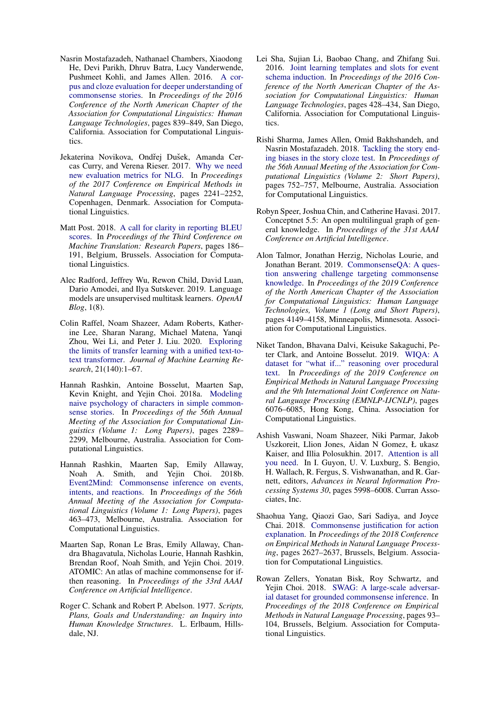- <span id="page-10-0"></span>Nasrin Mostafazadeh, Nathanael Chambers, Xiaodong He, Devi Parikh, Dhruv Batra, Lucy Vanderwende, Pushmeet Kohli, and James Allen. 2016. [A cor](https://doi.org/10.18653/v1/N16-1098)[pus and cloze evaluation for deeper understanding of](https://doi.org/10.18653/v1/N16-1098) [commonsense stories.](https://doi.org/10.18653/v1/N16-1098) In *Proceedings of the 2016 Conference of the North American Chapter of the Association for Computational Linguistics: Human Language Technologies*, pages 839–849, San Diego, California. Association for Computational Linguistics.
- <span id="page-10-11"></span>Jekaterina Novikova, Ondřej Dušek, Amanda Cercas Curry, and Verena Rieser. 2017. [Why we need](https://doi.org/10.18653/v1/D17-1238) [new evaluation metrics for NLG.](https://doi.org/10.18653/v1/D17-1238) In *Proceedings of the 2017 Conference on Empirical Methods in Natural Language Processing*, pages 2241–2252, Copenhagen, Denmark. Association for Computational Linguistics.
- <span id="page-10-12"></span>Matt Post. 2018. [A call for clarity in reporting BLEU](https://doi.org/10.18653/v1/W18-6319) [scores.](https://doi.org/10.18653/v1/W18-6319) In *Proceedings of the Third Conference on Machine Translation: Research Papers*, pages 186– 191, Belgium, Brussels. Association for Computational Linguistics.
- <span id="page-10-14"></span>Alec Radford, Jeffrey Wu, Rewon Child, David Luan, Dario Amodei, and Ilya Sutskever. 2019. Language models are unsupervised multitask learners. *OpenAI Blog*, 1(8).
- <span id="page-10-15"></span>Colin Raffel, Noam Shazeer, Adam Roberts, Katherine Lee, Sharan Narang, Michael Matena, Yanqi Zhou, Wei Li, and Peter J. Liu. 2020. [Exploring](http://jmlr.org/papers/v21/20-074.html) [the limits of transfer learning with a unified text-to](http://jmlr.org/papers/v21/20-074.html)[text transformer.](http://jmlr.org/papers/v21/20-074.html) *Journal of Machine Learning Research*, 21(140):1–67.
- <span id="page-10-3"></span>Hannah Rashkin, Antoine Bosselut, Maarten Sap, Kevin Knight, and Yejin Choi. 2018a. [Modeling](https://doi.org/10.18653/v1/P18-1213) [naive psychology of characters in simple common](https://doi.org/10.18653/v1/P18-1213)[sense stories.](https://doi.org/10.18653/v1/P18-1213) In *Proceedings of the 56th Annual Meeting of the Association for Computational Linguistics (Volume 1: Long Papers)*, pages 2289– 2299, Melbourne, Australia. Association for Computational Linguistics.
- <span id="page-10-10"></span>Hannah Rashkin, Maarten Sap, Emily Allaway, Noah A. Smith, and Yejin Choi. 2018b. [Event2Mind: Commonsense inference on events,](https://doi.org/10.18653/v1/P18-1043) [intents, and reactions.](https://doi.org/10.18653/v1/P18-1043) In *Proceedings of the 56th Annual Meeting of the Association for Computational Linguistics (Volume 1: Long Papers)*, pages 463–473, Melbourne, Australia. Association for Computational Linguistics.
- <span id="page-10-9"></span>Maarten Sap, Ronan Le Bras, Emily Allaway, Chandra Bhagavatula, Nicholas Lourie, Hannah Rashkin, Brendan Roof, Noah Smith, and Yejin Choi. 2019. ATOMIC: An atlas of machine commonsense for ifthen reasoning. In *Proceedings of the 33rd AAAI Conference on Artificial Intelligence*.
- <span id="page-10-6"></span>Roger C. Schank and Robert P. Abelson. 1977. *Scripts, Plans, Goals and Understanding: an Inquiry into Human Knowledge Structures*. L. Erlbaum, Hillsdale, NJ.
- <span id="page-10-7"></span>Lei Sha, Sujian Li, Baobao Chang, and Zhifang Sui. 2016. [Joint learning templates and slots for event](https://doi.org/10.18653/v1/N16-1049) [schema induction.](https://doi.org/10.18653/v1/N16-1049) In *Proceedings of the 2016 Conference of the North American Chapter of the Association for Computational Linguistics: Human Language Technologies*, pages 428–434, San Diego, California. Association for Computational Linguistics.
- <span id="page-10-16"></span>Rishi Sharma, James Allen, Omid Bakhshandeh, and Nasrin Mostafazadeh. 2018. [Tackling the story end](https://doi.org/10.18653/v1/P18-2119)[ing biases in the story cloze test.](https://doi.org/10.18653/v1/P18-2119) In *Proceedings of the 56th Annual Meeting of the Association for Computational Linguistics (Volume 2: Short Papers)*, pages 752–757, Melbourne, Australia. Association for Computational Linguistics.
- <span id="page-10-8"></span>Robyn Speer, Joshua Chin, and Catherine Havasi. 2017. Conceptnet 5.5: An open multilingual graph of general knowledge. In *Proceedings of the 31st AAAI Conference on Artificial Intelligence*.
- <span id="page-10-1"></span>Alon Talmor, Jonathan Herzig, Nicholas Lourie, and Jonathan Berant. 2019. [CommonsenseQA: A ques](https://doi.org/10.18653/v1/N19-1421)[tion answering challenge targeting commonsense](https://doi.org/10.18653/v1/N19-1421) [knowledge.](https://doi.org/10.18653/v1/N19-1421) In *Proceedings of the 2019 Conference of the North American Chapter of the Association for Computational Linguistics: Human Language Technologies, Volume 1 (Long and Short Papers)*, pages 4149–4158, Minneapolis, Minnesota. Association for Computational Linguistics.
- <span id="page-10-2"></span>Niket Tandon, Bhavana Dalvi, Keisuke Sakaguchi, Peter Clark, and Antoine Bosselut. 2019. [WIQA: A](https://doi.org/10.18653/v1/D19-1629) [dataset for "what if..." reasoning over procedural](https://doi.org/10.18653/v1/D19-1629) [text.](https://doi.org/10.18653/v1/D19-1629) In *Proceedings of the 2019 Conference on Empirical Methods in Natural Language Processing and the 9th International Joint Conference on Natural Language Processing (EMNLP-IJCNLP)*, pages 6076–6085, Hong Kong, China. Association for Computational Linguistics.
- <span id="page-10-13"></span>Ashish Vaswani, Noam Shazeer, Niki Parmar, Jakob Uszkoreit, Llion Jones, Aidan N Gomez, Ł ukasz Kaiser, and Illia Polosukhin. 2017. [Attention is all](http://papers.nips.cc/paper/7181-attention-is-all-you-need.pdf) [you need.](http://papers.nips.cc/paper/7181-attention-is-all-you-need.pdf) In I. Guyon, U. V. Luxburg, S. Bengio, H. Wallach, R. Fergus, S. Vishwanathan, and R. Garnett, editors, *Advances in Neural Information Processing Systems 30*, pages 5998–6008. Curran Associates, Inc.
- <span id="page-10-5"></span>Shaohua Yang, Qiaozi Gao, Sari Sadiya, and Joyce Chai. 2018. [Commonsense justification for action](https://doi.org/10.18653/v1/D18-1283) [explanation.](https://doi.org/10.18653/v1/D18-1283) In *Proceedings of the 2018 Conference on Empirical Methods in Natural Language Processing*, pages 2627–2637, Brussels, Belgium. Association for Computational Linguistics.
- <span id="page-10-4"></span>Rowan Zellers, Yonatan Bisk, Roy Schwartz, and Yejin Choi. 2018. [SWAG: A large-scale adversar](https://doi.org/10.18653/v1/D18-1009)[ial dataset for grounded commonsense inference.](https://doi.org/10.18653/v1/D18-1009) In *Proceedings of the 2018 Conference on Empirical Methods in Natural Language Processing*, pages 93– 104, Brussels, Belgium. Association for Computational Linguistics.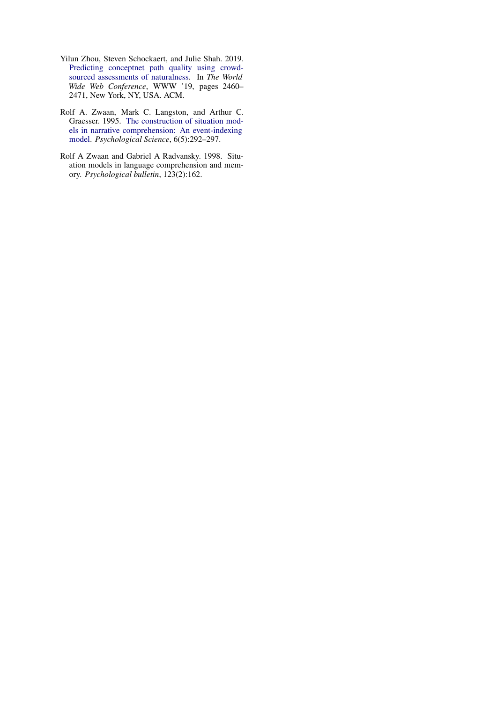- <span id="page-11-1"></span>Yilun Zhou, Steven Schockaert, and Julie Shah. 2019. [Predicting conceptnet path quality using crowd](https://doi.org/10.1145/3308558.3313486)[sourced assessments of naturalness.](https://doi.org/10.1145/3308558.3313486) In *The World Wide Web Conference*, WWW '19, pages 2460– 2471, New York, NY, USA. ACM.
- <span id="page-11-0"></span>Rolf A. Zwaan, Mark C. Langston, and Arthur C. Graesser. 1995. [The construction of situation mod](http://www.jstor.org/stable/40063035)[els in narrative comprehension: An event-indexing](http://www.jstor.org/stable/40063035) [model.](http://www.jstor.org/stable/40063035) *Psychological Science*, 6(5):292–297.
- <span id="page-11-2"></span>Rolf A Zwaan and Gabriel A Radvansky. 1998. Situation models in language comprehension and memory. *Psychological bulletin*, 123(2):162.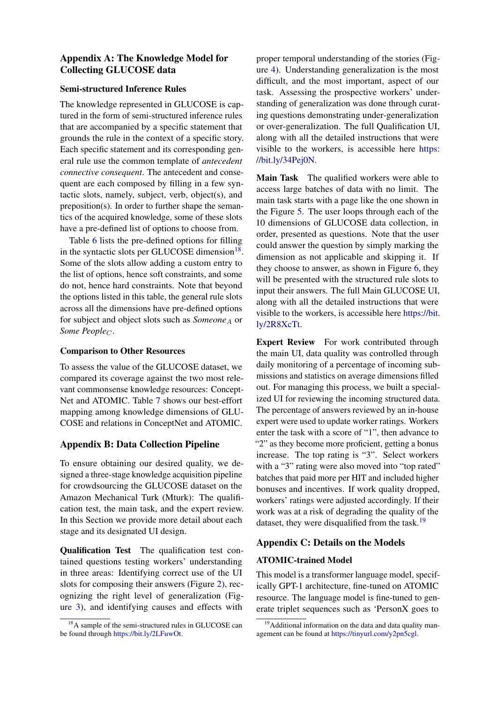# Appendix A: The Knowledge Model for Collecting GLUCOSE data

### Semi-structured Inference Rules

The knowledge represented in GLUCOSE is captured in the form of semi-structured inference rules that are accompanied by a specific statement that grounds the rule in the context of a specific story. Each specific statement and its corresponding general rule use the common template of *antecedent connective consequent*. The antecedent and consequent are each composed by filling in a few syntactic slots, namely, subject, verb, object(s), and preposition(s). In order to further shape the semantics of the acquired knowledge, some of these slots have a pre-defined list of options to choose from.

Table [6](#page-16-0) lists the pre-defined options for filling in the syntactic slots per GLUCOSE dimension<sup>[18](#page-12-0)</sup>. Some of the slots allow adding a custom entry to the list of options, hence soft constraints, and some do not, hence hard constraints. Note that beyond the options listed in this table, the general rule slots across all the dimensions have pre-defined options for subject and object slots such as *Someone*<sub>A</sub> or *Some People<sub>C</sub>*.

# Comparison to Other Resources

To assess the value of the GLUCOSE dataset, we compared its coverage against the two most relevant commonsense knowledge resources: Concept-Net and ATOMIC. Table [7](#page-16-1) shows our best-effort mapping among knowledge dimensions of GLU-COSE and relations in ConceptNet and ATOMIC.

# Appendix B: Data Collection Pipeline

To ensure obtaining our desired quality, we designed a three-stage knowledge acquisition pipeline for crowdsourcing the GLUCOSE dataset on the Amazon Mechanical Turk (Mturk): The qualification test, the main task, and the expert review. In this Section we provide more detail about each stage and its designated UI design.

Qualification Test The qualification test contained questions testing workers' understanding in three areas: Identifying correct use of the UI slots for composing their answers (Figure [2\)](#page-13-0), recognizing the right level of generalization (Figure [3\)](#page-13-1), and identifying causes and effects with

proper temporal understanding of the stories (Figure [4\)](#page-14-0). Understanding generalization is the most difficult, and the most important, aspect of our task. Assessing the prospective workers' understanding of generalization was done through curating questions demonstrating under-generalization or over-generalization. The full Qualification UI, along with all the detailed instructions that were visible to the workers, is accessible here [https:](https://bit.ly/34Pej0N) [//bit.ly/34Pej0N.](https://bit.ly/34Pej0N)

Main Task The qualified workers were able to access large batches of data with no limit. The main task starts with a page like the one shown in the Figure [5.](#page-14-1) The user loops through each of the 10 dimensions of GLUCOSE data collection, in order, presented as questions. Note that the user could answer the question by simply marking the dimension as not applicable and skipping it. If they choose to answer, as shown in Figure [6,](#page-15-0) they will be presented with the structured rule slots to input their answers. The full Main GLUCOSE UI, along with all the detailed instructions that were visible to the workers, is accessible here [https://bit.](https://bit.ly/2R8XcTt) [ly/2R8XcTt.](https://bit.ly/2R8XcTt)

Expert Review For work contributed through the main UI, data quality was controlled through daily monitoring of a percentage of incoming submissions and statistics on average dimensions filled out. For managing this process, we built a specialized UI for reviewing the incoming structured data. The percentage of answers reviewed by an in-house expert were used to update worker ratings. Workers enter the task with a score of "1", then advance to "2" as they become more proficient, getting a bonus increase. The top rating is "3". Select workers with a "3" rating were also moved into "top rated" batches that paid more per HIT and included higher bonuses and incentives. If work quality dropped, workers' ratings were adjusted accordingly. If their work was at a risk of degrading the quality of the dataset, they were disqualified from the task.<sup>[19](#page-12-1)</sup>

# Appendix C: Details on the Models

# ATOMIC-trained Model

This model is a transformer language model, specifically GPT-1 architecture, fine-tuned on ATOMIC resource. The language model is fine-tuned to generate triplet sequences such as 'PersonX goes to

<span id="page-12-0"></span><sup>&</sup>lt;sup>18</sup>A sample of the semi-structured rules in GLUCOSE can be found through [https://bit.ly/2LFuwOt.](https://bit.ly/2LFuwOt)

<span id="page-12-1"></span><sup>&</sup>lt;sup>19</sup> Additional information on the data and data quality management can be found at [https://tinyurl.com/y2pn5cgl.](https://tinyurl.com/y2pn5cgl)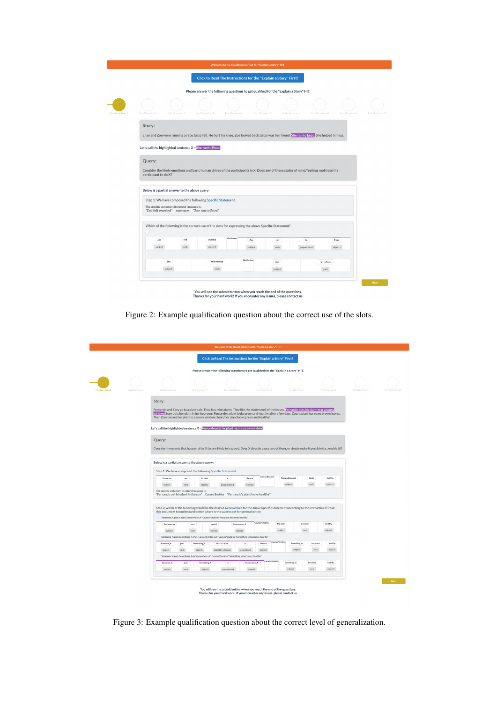<span id="page-13-0"></span>

|                        | Welcome to the Qualification Test for "Explain a Story" HIT!                                                                                                             |
|------------------------|--------------------------------------------------------------------------------------------------------------------------------------------------------------------------|
|                        | Click to Read The Instructions for the "Explain a Story" First!                                                                                                          |
|                        | Please answer the following questions to get qualified for the "Explain a Story" HIT.                                                                                    |
| <b>Test Question 1</b> | Test Ouestion 2<br>Test Question 3<br>Test Ouestion 4<br>Test Question 5<br>Test Question 6<br>Test Question 7<br>Test Question 8<br>Test Question 9<br>Test Ouestion 10 |
|                        | Story:                                                                                                                                                                   |
|                        | Enzo and Zoe were running a race. Enzo fell. He hurt his knee. Zoe looked back. Enzo was her friend. She ran to Enzo. She helped him up.                                 |
|                        | Let's call the highlighted sentence $X =$ She ran to Enzo.                                                                                                               |
|                        |                                                                                                                                                                          |
|                        | Query:                                                                                                                                                                   |
|                        | Consider the likely emotions and basic human drives of the participants in X. Does any of these states of mind/feelings motivate the<br>participant to do X?             |
|                        |                                                                                                                                                                          |
|                        | Below is a partial answer to the above query:                                                                                                                            |
|                        | Step 1: We have composed the following Specific Statement.                                                                                                               |
|                        | The specific statement in natural language is:<br>"Zoe felt worried" Motivates "Zoe ran to Enzo"                                                                         |
|                        |                                                                                                                                                                          |
|                        | Which of the following is the correct use of the slots for expressing the above Specific Statement?                                                                      |
|                        | Motivates                                                                                                                                                                |
|                        | Zoe<br>felt<br>worried<br>Enzo<br>Zoe<br>$\mathsf{to}$<br>ran<br>object1<br>subject<br>verb<br>subject<br>verb<br>preposition1<br>object1                                |
|                        |                                                                                                                                                                          |
|                        | Motivates<br>Zoe<br>felt worried<br>Zoe<br>ran to Enzo                                                                                                                   |
|                        | subject<br>verb<br>subject<br>verb                                                                                                                                       |
|                        |                                                                                                                                                                          |
|                        | Next                                                                                                                                                                     |
|                        | You will see the submit button when you reach the end of the questions.<br>Thanks for your hard work! If you encounter any issues, please contact us.                    |

Figure 2: Example qualification question about the correct use of the slots.

<span id="page-13-1"></span>

|                        |                 |                                                                                                                                                                                                                                                                                                                                                                                 |                                                                                                      | Welcome to the Qualification Test for "Explain a Story" HIT!                          |                        |                 |                             |               |                    |                 |                  |
|------------------------|-----------------|---------------------------------------------------------------------------------------------------------------------------------------------------------------------------------------------------------------------------------------------------------------------------------------------------------------------------------------------------------------------------------|------------------------------------------------------------------------------------------------------|---------------------------------------------------------------------------------------|------------------------|-----------------|-----------------------------|---------------|--------------------|-----------------|------------------|
|                        |                 |                                                                                                                                                                                                                                                                                                                                                                                 |                                                                                                      | Click to Read The Instructions for the "Explain a Story" First!                       |                        |                 |                             |               |                    |                 |                  |
|                        |                 |                                                                                                                                                                                                                                                                                                                                                                                 |                                                                                                      | Please answer the following questions to get qualified for the "Explain a Story" HIT. |                        |                 |                             |               |                    |                 |                  |
|                        |                 |                                                                                                                                                                                                                                                                                                                                                                                 |                                                                                                      |                                                                                       |                        |                 |                             |               |                    |                 |                  |
| <b>Test Question 1</b> | Test Ouestion 2 | Test Question 3                                                                                                                                                                                                                                                                                                                                                                 | Test Ouestion 4                                                                                      | <b>Test Ouestion 5</b>                                                                |                        | Test Question & | Test Question 7             |               | Test Ouestion 8    | Test Ouestion 9 | Test Question 10 |
|                        |                 | Story:                                                                                                                                                                                                                                                                                                                                                                          |                                                                                                      |                                                                                       |                        |                 |                             |               |                    |                 |                  |
|                        |                 | Fernando and Zoey go to a plant sale. They buy mint plants. They like the minty smell of the leaves. Fernando puts his plant near a sunny<br>window Zoey puts her plant in her bedroom. Fernando's plant looks green and healthy after a few days. Zoey's plant has some brown leaves.<br>Then Zoey moves her plant to a sunny window. Soon, her plant looks green and healthy! |                                                                                                      |                                                                                       |                        |                 |                             |               |                    |                 |                  |
|                        |                 | Let's call the highlighted sentence $X =$ Fernando puts his plant near a sunny window.                                                                                                                                                                                                                                                                                          |                                                                                                      |                                                                                       |                        |                 |                             |               |                    |                 |                  |
|                        |                 | Query:                                                                                                                                                                                                                                                                                                                                                                          |                                                                                                      |                                                                                       |                        |                 |                             |               |                    |                 |                  |
|                        |                 | Consider the events that happen after X (or are likely to happen). Does X directly cause any of them, or simply make it possible (i.e., enable it)?                                                                                                                                                                                                                             |                                                                                                      |                                                                                       |                        |                 |                             |               |                    |                 |                  |
|                        |                 |                                                                                                                                                                                                                                                                                                                                                                                 |                                                                                                      |                                                                                       |                        |                 |                             |               |                    |                 |                  |
|                        |                 | Below is a partial answer to the above query:                                                                                                                                                                                                                                                                                                                                   |                                                                                                      |                                                                                       |                        |                 |                             |               |                    |                 |                  |
|                        |                 | Step 1: We have composed the following Specific Statement.                                                                                                                                                                                                                                                                                                                      |                                                                                                      |                                                                                       |                        | Causes/Enables  |                             |               |                    |                 |                  |
|                        |                 | Fernando<br>subject                                                                                                                                                                                                                                                                                                                                                             | his plant<br>put<br>verb<br>object1                                                                  | in<br>preoposition1                                                                   | the sun<br>object2     |                 | Fernando's plant<br>subject | looks<br>verb | healthy<br>object1 |                 |                  |
|                        |                 | The specific statement in natural language is:<br>"Fernando put his plant in the sun" Causes/Enables "Fernando's plant looks healthy"                                                                                                                                                                                                                                           |                                                                                                      |                                                                                       |                        |                 |                             |               |                    |                 |                  |
|                        |                 | Step 2: which of the following would be the desired General Rule for the above Specific Statement according to the instructions? Read                                                                                                                                                                                                                                           |                                                                                                      |                                                                                       |                        |                 |                             |               |                    |                 |                  |
|                        |                 | this document to understand better where is the sweet spot for generalization.                                                                                                                                                                                                                                                                                                  | "Someone_A puts a plant Somewhere_A" Causes/Enables "the plant becomes healthy"                      |                                                                                       |                        |                 |                             |               |                    |                 |                  |
|                        |                 | Someone A                                                                                                                                                                                                                                                                                                                                                                       | puts                                                                                                 | a plant                                                                               | Somewhere A            | Causes/Enables  | the plant                   | becomes       | healthy            |                 |                  |
|                        |                 | subject                                                                                                                                                                                                                                                                                                                                                                         | verb                                                                                                 | object1                                                                               | object2                |                 | subject                     | verb          | object1            |                 |                  |
|                        |                 |                                                                                                                                                                                                                                                                                                                                                                                 | "Someone_A puts Something_A that is a plant in the sun" Causes/Enables "Something_A becomes healthy' |                                                                                       |                        | Causes/Enables  |                             |               |                    |                 |                  |
|                        |                 | Someone A<br>puts                                                                                                                                                                                                                                                                                                                                                               | Something <sub>A</sub>                                                                               | that is a plant                                                                       | in.                    | the sun         | Something <sub>, A</sub>    | becomes       | healthy            |                 |                  |
|                        |                 | subject<br>verb                                                                                                                                                                                                                                                                                                                                                                 | object1                                                                                              | object1's attribute                                                                   | preposition1           | object2         | subject                     | verb          | object1            |                 |                  |
|                        |                 |                                                                                                                                                                                                                                                                                                                                                                                 | "Someone_A puts Something_A in Somewhere_A" Causes/Enables "Something_A becomes healthy"             |                                                                                       |                        | Causes/Enables  |                             | becomes       | healthy            |                 |                  |
|                        |                 | Someone <sub>,A</sub><br>subject                                                                                                                                                                                                                                                                                                                                                | Something <sub>A</sub><br>puts<br>verb<br>object1                                                    | 'n<br>preposition1                                                                    | Somewhere A<br>object2 |                 | Something_A<br>subject      | verb          | object1            |                 |                  |
|                        |                 |                                                                                                                                                                                                                                                                                                                                                                                 |                                                                                                      |                                                                                       |                        |                 |                             |               |                    |                 |                  |
|                        |                 |                                                                                                                                                                                                                                                                                                                                                                                 |                                                                                                      |                                                                                       |                        |                 |                             |               |                    |                 | Next             |
|                        |                 |                                                                                                                                                                                                                                                                                                                                                                                 |                                                                                                      | You will see the submit button when you reach the end of the questions.               |                        |                 |                             |               |                    |                 |                  |
|                        |                 |                                                                                                                                                                                                                                                                                                                                                                                 |                                                                                                      | Thanks for your hard work! If you encounter any issues, please contact us.            |                        |                 |                             |               |                    |                 |                  |
|                        |                 |                                                                                                                                                                                                                                                                                                                                                                                 |                                                                                                      |                                                                                       |                        |                 |                             |               |                    |                 |                  |

Figure 3: Example qualification question about the correct level of generalization.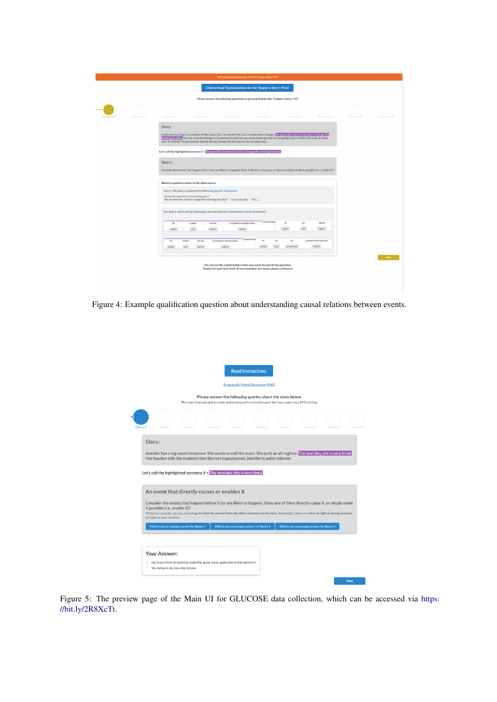<span id="page-14-0"></span>

|                        |                 |                                                                                                         |                                                                                         | Welcome to the Qualification Test for "Explain a Story" HIT!                                                                                          |                                           |                |              |                     |                                                                                                                                                                                                                                                                                         |                  |                  |  |
|------------------------|-----------------|---------------------------------------------------------------------------------------------------------|-----------------------------------------------------------------------------------------|-------------------------------------------------------------------------------------------------------------------------------------------------------|-------------------------------------------|----------------|--------------|---------------------|-----------------------------------------------------------------------------------------------------------------------------------------------------------------------------------------------------------------------------------------------------------------------------------------|------------------|------------------|--|
|                        |                 |                                                                                                         |                                                                                         | Click to Read The Instructions for the "Explain a Story" First!                                                                                       |                                           |                |              |                     |                                                                                                                                                                                                                                                                                         |                  |                  |  |
|                        |                 |                                                                                                         |                                                                                         | Please answer the following questions to get qualified for the "Explain a Story" HIT.                                                                 |                                           |                |              |                     |                                                                                                                                                                                                                                                                                         |                  |                  |  |
| <b>Test Question 1</b> | Test Question 2 | Test Question 3                                                                                         | Test Question &                                                                         | Test Ca                                                                                                                                               |                                           | Test Que       |              | Test Question"      | Test Cluestion 8                                                                                                                                                                                                                                                                        | Test Cluestian 9 | Test Question 10 |  |
|                        |                 | Story:                                                                                                  |                                                                                         |                                                                                                                                                       |                                           |                |              |                     |                                                                                                                                                                                                                                                                                         |                  |                  |  |
|                        |                 |                                                                                                         | club. It worked! He got elected. But he did not change the location or buy anyone soda. |                                                                                                                                                       |                                           |                |              |                     | Lewis was running for president of the chess club. He wanted the club to make some changes. He especially wanted the club to change the<br>meeting location. He was tired of waiting for his parents to pick him up. Lewis made up that he was going to give all the kids soda at chess |                  |                  |  |
|                        |                 | Let's call the highlighted sentence $X$ = He especially wanted the club to change the meeting location. |                                                                                         |                                                                                                                                                       |                                           |                |              |                     |                                                                                                                                                                                                                                                                                         |                  |                  |  |
|                        |                 | Query:                                                                                                  |                                                                                         |                                                                                                                                                       |                                           |                |              |                     |                                                                                                                                                                                                                                                                                         |                  |                  |  |
|                        |                 |                                                                                                         |                                                                                         |                                                                                                                                                       |                                           |                |              |                     | Consider the events that happen after X (or are likely to happen). Does X directly cause any of them, or simply make it possible (i.e., enable it)?                                                                                                                                     |                  |                  |  |
|                        |                 |                                                                                                         | Below is a partial answer to the above query:                                           |                                                                                                                                                       |                                           |                |              |                     |                                                                                                                                                                                                                                                                                         |                  |                  |  |
|                        |                 |                                                                                                         | Step 1: We have composed the following Specific Statement.                              |                                                                                                                                                       |                                           |                |              |                     |                                                                                                                                                                                                                                                                                         |                  |                  |  |
|                        |                 | The specific statement in natural language is:                                                          | "He wanted the club to change the meeting location" Causes/Enables "He "                |                                                                                                                                                       |                                           |                |              |                     |                                                                                                                                                                                                                                                                                         |                  |                  |  |
|                        |                 |                                                                                                         | For Step 1, which of the following is the best Specific Statement in terms of content?  |                                                                                                                                                       |                                           |                |              |                     |                                                                                                                                                                                                                                                                                         |                  |                  |  |
|                        |                 |                                                                                                         |                                                                                         |                                                                                                                                                       |                                           |                |              |                     |                                                                                                                                                                                                                                                                                         |                  |                  |  |
|                        |                 | He<br>subject                                                                                           | the club<br>wanted<br>object1<br>verb                                                   |                                                                                                                                                       | to change the meeting location<br>object2 | Causes/Enables |              | He<br>subject       | elected<br>got<br>object1<br>verb                                                                                                                                                                                                                                                       |                  |                  |  |
|                        |                 |                                                                                                         |                                                                                         |                                                                                                                                                       |                                           |                |              |                     |                                                                                                                                                                                                                                                                                         |                  |                  |  |
|                        |                 | He<br>wanted<br>subject<br>verb                                                                         | the club<br>object1                                                                     | to change the meeting location<br>object2                                                                                                             | Causes/Enables                            | He<br>subject  | ran<br>yerb. | for<br>preposition1 | president of the chess club<br>object1                                                                                                                                                                                                                                                  |                  |                  |  |
|                        |                 |                                                                                                         |                                                                                         |                                                                                                                                                       |                                           |                |              |                     |                                                                                                                                                                                                                                                                                         |                  |                  |  |
|                        |                 |                                                                                                         |                                                                                         |                                                                                                                                                       |                                           |                |              |                     |                                                                                                                                                                                                                                                                                         |                  | Next             |  |
|                        |                 |                                                                                                         |                                                                                         | You will see the submit button when you reach the end of the questions.<br>Thanks for your hard work! If you encounter any issues, please contact us. |                                           |                |              |                     |                                                                                                                                                                                                                                                                                         |                  |                  |  |
|                        |                 |                                                                                                         |                                                                                         |                                                                                                                                                       |                                           |                |              |                     |                                                                                                                                                                                                                                                                                         |                  |                  |  |
|                        |                 |                                                                                                         |                                                                                         |                                                                                                                                                       |                                           |                |              |                     |                                                                                                                                                                                                                                                                                         |                  |                  |  |

<span id="page-14-1"></span>Figure 4: Example qualification question about understanding causal relations between events.

|                                                                                                                                                                                                                                                                                                                                                                                                                                                                           |                                                                                    |         | <b>Frequently Asked Questions (FAQ)</b>                                                                                                                       |         |         |                                            |         |
|---------------------------------------------------------------------------------------------------------------------------------------------------------------------------------------------------------------------------------------------------------------------------------------------------------------------------------------------------------------------------------------------------------------------------------------------------------------------------|------------------------------------------------------------------------------------|---------|---------------------------------------------------------------------------------------------------------------------------------------------------------------|---------|---------|--------------------------------------------|---------|
|                                                                                                                                                                                                                                                                                                                                                                                                                                                                           |                                                                                    |         | Please answer the following queries about the story below.<br>The most thorough and accurate submissions will receive bonuses! We have many more HITs coming. |         |         |                                            |         |
| Ouery 1<br>Query 2                                                                                                                                                                                                                                                                                                                                                                                                                                                        | Ouerv <sub>3</sub>                                                                 | Ouery 4 | Ouery 5                                                                                                                                                       | Ouery 6 | Ouerv 7 | Ouery 8                                    | Ouerv 9 |
| Story:                                                                                                                                                                                                                                                                                                                                                                                                                                                                    |                                                                                    |         |                                                                                                                                                               |         |         |                                            |         |
|                                                                                                                                                                                                                                                                                                                                                                                                                                                                           |                                                                                    |         |                                                                                                                                                               |         |         |                                            |         |
| Jennifer has a big exam tomorrow. She wants to nail the exam. She pulls an all-nighter. The next day, she is very tired.<br>Her teacher tells the students that the test is postponed. Jennifer is quite relieved.                                                                                                                                                                                                                                                        |                                                                                    |         |                                                                                                                                                               |         |         |                                            |         |
|                                                                                                                                                                                                                                                                                                                                                                                                                                                                           |                                                                                    |         |                                                                                                                                                               |         |         |                                            |         |
|                                                                                                                                                                                                                                                                                                                                                                                                                                                                           |                                                                                    |         |                                                                                                                                                               |         |         |                                            |         |
|                                                                                                                                                                                                                                                                                                                                                                                                                                                                           |                                                                                    |         |                                                                                                                                                               |         |         |                                            |         |
|                                                                                                                                                                                                                                                                                                                                                                                                                                                                           |                                                                                    |         |                                                                                                                                                               |         |         |                                            |         |
|                                                                                                                                                                                                                                                                                                                                                                                                                                                                           |                                                                                    |         |                                                                                                                                                               |         |         |                                            |         |
|                                                                                                                                                                                                                                                                                                                                                                                                                                                                           |                                                                                    |         |                                                                                                                                                               |         |         |                                            |         |
|                                                                                                                                                                                                                                                                                                                                                                                                                                                                           |                                                                                    |         |                                                                                                                                                               |         |         |                                            |         |
|                                                                                                                                                                                                                                                                                                                                                                                                                                                                           |                                                                                    |         |                                                                                                                                                               |         |         |                                            |         |
|                                                                                                                                                                                                                                                                                                                                                                                                                                                                           |                                                                                    |         |                                                                                                                                                               |         |         |                                            |         |
|                                                                                                                                                                                                                                                                                                                                                                                                                                                                           | Click to see an example answer for Query 1                                         |         | Click to see an example answer for Query 1                                                                                                                    |         |         | Click to see an example answer for Query 1 |         |
| Let's call the highlighted sentence $X =$ The next day, she is very tired.<br>An event that directly causes or enables X<br>Consider the events that happen before X (or are likely to happen). Does any of them directly cause X, or simply make<br>X possible (i.e., enable X)?<br>Whenever possible, you are encouraged to find the answer from the other sentences in the story. Remember, there are often no right or wrong answers;<br>just give us your intuition. |                                                                                    |         |                                                                                                                                                               |         |         |                                            |         |
|                                                                                                                                                                                                                                                                                                                                                                                                                                                                           |                                                                                    |         |                                                                                                                                                               |         |         |                                            |         |
|                                                                                                                                                                                                                                                                                                                                                                                                                                                                           |                                                                                    |         |                                                                                                                                                               |         |         |                                            |         |
| Your Answer:                                                                                                                                                                                                                                                                                                                                                                                                                                                              | No, I can't think of anything really/the query is not applicable to this sentence! |         |                                                                                                                                                               |         |         |                                            |         |

Figure 5: The preview page of the Main UI for GLUCOSE data collection, which can be accessed via [https:](https://bit.ly/2R8XcTt) [//bit.ly/2R8XcTt.](https://bit.ly/2R8XcTt)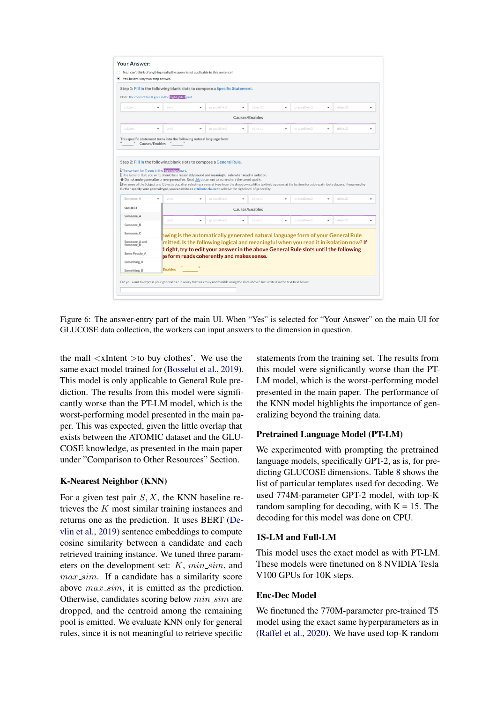<span id="page-15-0"></span>

Figure 6: The answer-entry part of the main UI. When "Yes" is selected for "Your Answer" on the main UI for GLUCOSE data collection, the workers can input answers to the dimension in question.

the mall <xIntent >to buy clothes'. We use the same exact model trained for [\(Bosselut et al.,](#page-9-16) [2019\)](#page-9-16). This model is only applicable to General Rule prediction. The results from this model were significantly worse than the PT-LM model, which is the worst-performing model presented in the main paper. This was expected, given the little overlap that exists between the ATOMIC dataset and the GLU-COSE knowledge, as presented in the main paper under "Comparison to Other Resources" Section.

### K-Nearest Neighbor (KNN)

For a given test pair  $S, X$ , the KNN baseline retrieves the K most similar training instances and returns one as the prediction. It uses BERT [\(De](#page-9-18)[vlin et al.,](#page-9-18) [2019\)](#page-9-18) sentence embeddings to compute cosine similarity between a candidate and each retrieved training instance. We tuned three parameters on the development set:  $K$ ,  $min\_sim$ , and  $max\_sim$ . If a candidate has a similarity score above  $max\_sim$ , it is emitted as the prediction. Otherwise, candidates scoring below min sim are dropped, and the centroid among the remaining pool is emitted. We evaluate KNN only for general rules, since it is not meaningful to retrieve specific

statements from the training set. The results from this model were significantly worse than the PT-LM model, which is the worst-performing model presented in the main paper. The performance of the KNN model highlights the importance of generalizing beyond the training data.

#### Pretrained Language Model (PT-LM)

We experimented with prompting the pretrained language models, specifically GPT-2, as is, for predicting GLUCOSE dimensions. Table [8](#page-17-0) shows the list of particular templates used for decoding. We used 774M-parameter GPT-2 model, with top-K random sampling for decoding, with  $K = 15$ . The decoding for this model was done on CPU.

#### 1S-LM and Full-LM

This model uses the exact model as with PT-LM. These models were finetuned on 8 NVIDIA Tesla V100 GPUs for 10K steps.

#### Enc-Dec Model

We finetuned the 770M-parameter pre-trained T5 model using the exact same hyperparameters as in [\(Raffel et al.,](#page-10-15) [2020\)](#page-10-15). We have used top-K random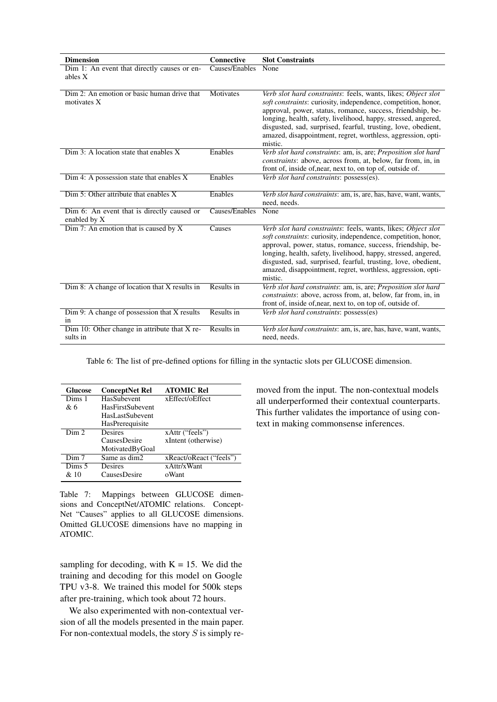<span id="page-16-0"></span>

| <b>Dimension</b>                                           | Connective     | <b>Slot Constraints</b>                                                                                                                                                                                                                                                                                                                                                                                    |
|------------------------------------------------------------|----------------|------------------------------------------------------------------------------------------------------------------------------------------------------------------------------------------------------------------------------------------------------------------------------------------------------------------------------------------------------------------------------------------------------------|
| Dim 1: An event that directly causes or en-<br>ables X     | Causes/Enables | None                                                                                                                                                                                                                                                                                                                                                                                                       |
| Dim 2: An emotion or basic human drive that<br>motivates X | Motivates      | Verb slot hard constraints: feels, wants, likes; Object slot<br>soft constraints: curiosity, independence, competition, honor,<br>approval, power, status, romance, success, friendship, be-<br>longing, health, safety, livelihood, happy, stressed, angered,<br>disgusted, sad, surprised, fearful, trusting, love, obedient,<br>amazed, disappointment, regret, worthless, aggression, opti-<br>mistic. |
| $Dim 3: A location state that enables X$                   | Enables        | Verb slot hard constraints: am, is, are; Preposition slot hard<br><i>constraints:</i> above, across from, at, below, far from, in, in<br>front of, inside of, near, next to, on top of, outside of.                                                                                                                                                                                                        |
| Dim 4: A possession state that enables X                   | Enables        | Verb slot hard constraints: possess(es).                                                                                                                                                                                                                                                                                                                                                                   |
| Dim 5: Other attribute that enables X                      | Enables        | Verb slot hard constraints: am, is, are, has, have, want, wants,<br>need, needs.                                                                                                                                                                                                                                                                                                                           |
| Dim 6: An event that is directly caused or<br>enabled by X | Causes/Enables | None                                                                                                                                                                                                                                                                                                                                                                                                       |
| Dim 7: An emotion that is caused by $X$                    | Causes         | Verb slot hard constraints: feels, wants, likes; Object slot<br>soft constraints: curiosity, independence, competition, honor,<br>approval, power, status, romance, success, friendship, be-<br>longing, health, safety, livelihood, happy, stressed, angered,<br>disgusted, sad, surprised, fearful, trusting, love, obedient,<br>amazed, disappointment, regret, worthless, aggression, opti-<br>mistic. |
| Dim 8: A change of location that X results in              | Results in     | Verb slot hard constraints: am, is, are; Preposition slot hard<br>constraints: above, across from, at, below, far from, in, in<br>front of, inside of, near, next to, on top of, outside of.                                                                                                                                                                                                               |
| Dim 9: A change of possession that X results<br>1n         | Results in     | Verb slot hard constraints: possess(es)                                                                                                                                                                                                                                                                                                                                                                    |
| Dim 10: Other change in attribute that $X$ re-<br>sults in | Results in     | Verb slot hard constraints: am, is, are, has, have, want, wants,<br>need, needs.                                                                                                                                                                                                                                                                                                                           |

Table 6: The list of pre-defined options for filling in the syntactic slots per GLUCOSE dimension.

<span id="page-16-1"></span>

| <b>Glucose</b>      | <b>ConceptNet Rel</b> | <b>ATOMIC Rel</b>       |
|---------------------|-----------------------|-------------------------|
| Dims 1              | HasSubevent           | xEffect/oEffect         |
| & 6                 | HasFirstSubevent      |                         |
|                     | HasLastSubevent       |                         |
|                     | HasPrerequisite       |                         |
| $\overline{D}$ im 2 | Desires               | xAttr ("feels")         |
|                     | <b>CausesDesire</b>   | xIntent (otherwise)     |
|                     | MotivatedByGoal       |                         |
| Dim <sub>7</sub>    | Same as dim2          | xReact/oReact ("feels") |
| Dims 5              | Desires               | x Attr/x Want           |
| & 10                | <b>CausesDesire</b>   | oWant                   |

Table 7: Mappings between GLUCOSE dimensions and ConceptNet/ATOMIC relations. Concept-Net "Causes" applies to all GLUCOSE dimensions. Omitted GLUCOSE dimensions have no mapping in ATOMIC.

sampling for decoding, with  $K = 15$ . We did the training and decoding for this model on Google TPU v3-8. We trained this model for 500k steps after pre-training, which took about 72 hours.

We also experimented with non-contextual version of all the models presented in the main paper. For non-contextual models, the story  $S$  is simply re-

moved from the input. The non-contextual models all underperformed their contextual counterparts. This further validates the importance of using context in making commonsense inferences.